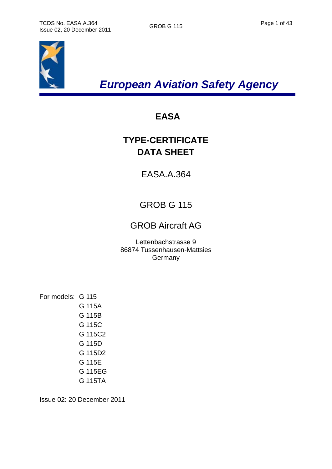

*European Aviation Safety Agency* 

# **EASA**

# **TYPE-CERTIFICATE DATA SHEET**

EASA.A.364

# GROB G 115

# GROB Aircraft AG

Lettenbachstrasse 9 86874 Tussenhausen-Mattsies **Germany** 

For models: G 115 G 115A G 115B G 115C G 115C2 G 115D G 115D2 G 115E G 115EG G 115TA

Issue 02: 20 December 2011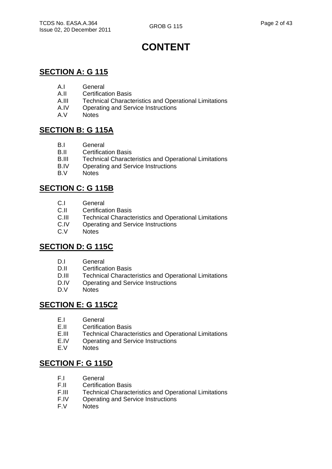# **CONTENT**

# **SECTION A: G 115**

- A.I General
- A.II Certification Basis
- A.III Technical Characteristics and Operational Limitations
- A.IV Operating and Service Instructions<br>A.V Notes
- **Notes**

### **SECTION B: G 115A**

- B.I General
- B.II Certification Basis
- B.III Technical Characteristics and Operational Limitations
- B.IV Operating and Service Instructions
- B.V Notes

### **SECTION C: G 115B**

- C.I General
- C.II Certification Basis
- C.III Technical Characteristics and Operational Limitations
- C.IV Operating and Service Instructions
- C.V Notes

### **SECTION D: G 115C**

- D.I General
- D.II Certification Basis
- D.III Technical Characteristics and Operational Limitations
- D.IV Operating and Service Instructions
- D.V Notes

### **SECTION E: G 115C2**

- E.I General
- E.II Certification Basis
- E.III Technical Characteristics and Operational Limitations
- E.IV Operating and Service Instructions
- E.V Notes

### **SECTION F: G 115D**

- F.I General
- F.II Certification Basis
- F.III Technical Characteristics and Operational Limitations<br>F.IV Operating and Service Instructions
- Operating and Service Instructions
- F.V Notes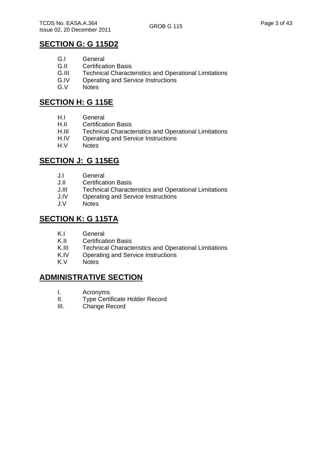# **SECTION G: G 115D2**

- G.I General<br>G.II Certificat
- **G.II** Certification Basis<br>**G.III** Technical Characte
- Technical Characteristics and Operational Limitations
- G.IV Operating and Service Instructions
- G.V Notes

### **SECTION H: G 115E**

- H.I General
- H.II Certification Basis
- H.III Technical Characteristics and Operational Limitations
- H.IV Operating and Service Instructions
- H.V Notes

# **SECTION J: G 115EG**

- J.I General
- **Certification Basis**
- J.III Technical Characteristics and Operational Limitations
- J.IV Operating and Service Instructions
- J.V Notes

### **SECTION K: G 115TA**

- K.I General
- K.II Certification Basis
- K.III Technical Characteristics and Operational Limitations
- K.IV Operating and Service Instructions
- K.V Notes

### **ADMINISTRATIVE SECTION**

- I. Acronyms
- II. Type Certificate Holder Record
- III. Change Record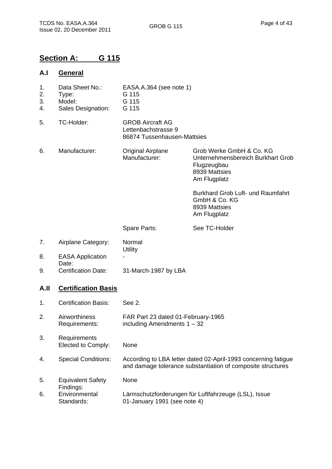# **Section A: G 115**

# **A.I General**

- 1. Data Sheet No.: EASA.A.364 (see note 1)
- 2. Type: G 115
- 3. Model: G 115
- 4. Sales Designation: G 115
- 5. TC-Holder: GROB Aircraft AG Lettenbachstrasse 9 86874 Tussenhausen-Mattsies
- 6. Manufacturer: Original Airplane Manufacturer: Grob Werke GmbH & Co. KG Unternehmensbereich Burkhart Grob Flugzeugbau 8939 Mattsies Am Flugplatz
	- Burkhard Grob Luft- und Raumfahrt GmbH & Co. KG 8939 Mattsies Am Flugplatz
	- Spare Parts:

See TC-Holder

- 7. Airplane Category: Normal **Utility** 8. EASA Application -
- Date: 9. Certification Date: 31-March-1987 by LBA

### **A.II Certification Basis**

- 1. Certification Basis: See 2.
- 2. Airworthiness Requirements: FAR Part 23 dated 01-February-1965 including Amendments 1 – 32
- 3. Requirements Elected to Comply: None
	-
- 4. Special Conditions: According to LBA letter dated 02-April-1993 concerning fatigue and damage tolerance substantiation of composite structures
- 5. Equivalent Safety Findings: None
- 6. Environmental Standards: Lärmschutzforderungen für Luftfahrzeuge (LSL), Issue 01-January 1991 (see note 4)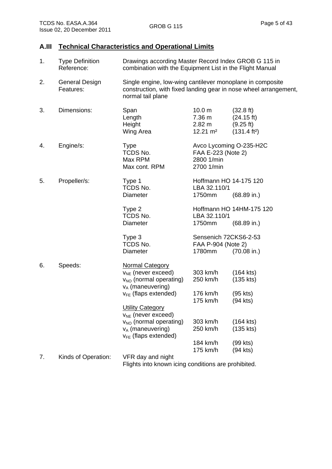#### **A.III Technical Characteristics and Operational Limits**

| 1. | <b>Type Definition</b><br>Reference: | Drawings according Master Record Index GROB G 115 in<br>combination with the Equipment List in the Flight Manual                             |                                                                        |                                                                            |
|----|--------------------------------------|----------------------------------------------------------------------------------------------------------------------------------------------|------------------------------------------------------------------------|----------------------------------------------------------------------------|
| 2. | <b>General Design</b><br>Features:   | Single engine, low-wing cantilever monoplane in composite<br>normal tail plane                                                               |                                                                        | construction, with fixed landing gear in nose wheel arrangement,           |
| 3. | Dimensions:                          | Span<br>Length<br>Height<br>Wing Area                                                                                                        | 10.0 <sub>m</sub><br>7.36 m<br>$2.82 \text{ m}$<br>$12.21 \text{ m}^2$ | $(32.8 \text{ ft})$<br>(24.15 ft)<br>(9.25 ft)<br>(131.4 ft <sup>2</sup> ) |
| 4. | Engine/s:                            | <b>Type</b><br>TCDS No.<br>Max RPM<br>Max cont. RPM                                                                                          | FAA E-223 (Note 2)<br>2800 1/min<br>2700 1/min                         | Avco Lycoming O-235-H2C                                                    |
| 5. | Propeller/s:                         | Type 1<br>TCDS No.<br>Diameter                                                                                                               | Hoffmann HO 14-175 120<br>LBA 32.110/1<br>1750mm                       | $(68.89 \text{ in.})$                                                      |
|    |                                      | Type 2<br>TCDS No.<br>Diameter                                                                                                               | LBA 32.110/1<br>1750mm                                                 | Hoffmann HO 14HM-175 120<br>$(68.89 \text{ in.})$                          |
|    |                                      | Type 3<br>TCDS No.<br>Diameter                                                                                                               | Sensenich 72CKS6-2-53<br>FAA P-904 (Note 2)<br>1780mm                  | $(70.08 \text{ in.})$                                                      |
| 6. | Speeds:                              | <b>Normal Category</b><br>$v_{NE}$ (never exceed)<br>V <sub>NO</sub> (normal operating)<br>$v_A$ (maneuvering)<br>$v_{FE}$ (flaps extended)  | 303 km/h<br>250 km/h<br>176 km/h<br>175 km/h                           | $(164$ kts)<br>$(135$ kts)<br>$(95$ kts)<br>(94 kts)                       |
|    |                                      | <b>Utility Category</b><br>$v_{NE}$ (never exceed)<br>V <sub>NO</sub> (normal operating)<br>$v_A$ (maneuvering)<br>$V_{FE}$ (flaps extended) | 303 km/h<br>250 km/h                                                   | $(164$ kts)<br>$(135$ kts)                                                 |
|    |                                      |                                                                                                                                              | 184 km/h<br>175 km/h                                                   | (99 kts)<br>(94 kts)                                                       |
| 7. | Kinds of Operation:                  | VFR day and night<br>Flights into known icing conditions are prohibited.                                                                     |                                                                        |                                                                            |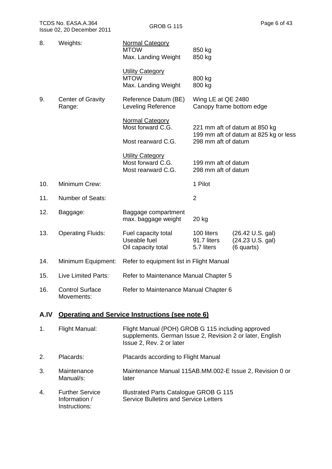| TCDS No. EASA.A.364<br>Issue 02, 20 December 2011 |                                    | <b>GROB G 115</b>                                                  | Page 6 of 43                                                                                       |  |
|---------------------------------------------------|------------------------------------|--------------------------------------------------------------------|----------------------------------------------------------------------------------------------------|--|
| 8.                                                | Weights:                           | <b>Normal Category</b><br><b>MTOW</b><br>Max. Landing Weight       | 850 kg<br>850 kg                                                                                   |  |
|                                                   |                                    | <b>Utility Category</b><br><b>MTOW</b><br>Max. Landing Weight      | 800 kg<br>800 kg                                                                                   |  |
| 9.                                                | <b>Center of Gravity</b><br>Range: | Reference Datum (BE)<br>Leveling Reference                         | Wing LE at QE 2480<br>Canopy frame bottom edge                                                     |  |
|                                                   |                                    | <b>Normal Category</b><br>Most forward C.G.<br>Most rearward C.G.  | 221 mm aft of datum at 850 kg<br>199 mm aft of datum at 825 kg or less<br>298 mm aft of datum      |  |
|                                                   |                                    | <b>Utility Category</b><br>Most forward C.G.<br>Most rearward C.G. | 199 mm aft of datum<br>298 mm aft of datum                                                         |  |
| 10.                                               | Minimum Crew:                      |                                                                    | 1 Pilot                                                                                            |  |
| 11.                                               | <b>Number of Seats:</b>            |                                                                    | $\overline{2}$                                                                                     |  |
| 12.                                               | Baggage:                           | Baggage compartment<br>max. baggage weight                         | $20$ kg                                                                                            |  |
| 13.                                               | <b>Operating Fluids:</b>           | Fuel capacity total<br>Useable fuel<br>Oil capacity total          | 100 liters<br>$(26.42 \cup S. gal)$<br>91.7 liters<br>(24.23 U.S. gal)<br>5.7 liters<br>(6 quarts) |  |

14. Minimum Equipment: Refer to equipment list in Flight Manual

| Refer to Maintenance Manual Chapter 5<br>Live Limited Parts:<br>15. |  |
|---------------------------------------------------------------------|--|
|---------------------------------------------------------------------|--|

| 16. | <b>Control Surface</b> | Refer to Maintenance Manual Chapter 6 |
|-----|------------------------|---------------------------------------|
|     | Movements:             |                                       |

# **A.IV Operating and Service Instructions (see note 6)**

| 1. | Flight Manual:                                           | Flight Manual (POH) GROB G 115 including approved<br>supplements. German Issue 2, Revision 2 or later, English<br>Issue 2, Rev. 2 or later |
|----|----------------------------------------------------------|--------------------------------------------------------------------------------------------------------------------------------------------|
| 2. | Placards:                                                | Placards according to Flight Manual                                                                                                        |
| 3. | Maintenance<br>Manual/s:                                 | Maintenance Manual 115AB.MM.002-E Issue 2, Revision 0 or<br>later                                                                          |
| 4. | <b>Further Service</b><br>Information /<br>Instructions: | Illustrated Parts Catalogue GROB G 115<br><b>Service Bulletins and Service Letters</b>                                                     |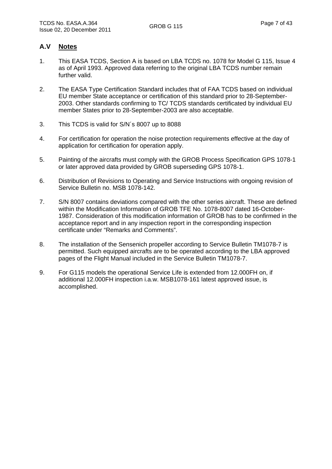#### **A.V Notes**

- 1. This EASA TCDS, Section A is based on LBA TCDS no. 1078 for Model G 115, Issue 4 as of April 1993. Approved data referring to the original LBA TCDS number remain further valid.
- 2. The EASA Type Certification Standard includes that of FAA TCDS based on individual EU member State acceptance or certification of this standard prior to 28-September-2003. Other standards confirming to TC/ TCDS standards certificated by individual EU member States prior to 28-September-2003 are also acceptable.
- 3. This TCDS is valid for S/N´s 8007 up to 8088
- 4. For certification for operation the noise protection requirements effective at the day of application for certification for operation apply.
- 5. Painting of the aircrafts must comply with the GROB Process Specification GPS 1078-1 or later approved data provided by GROB superseding GPS 1078-1.
- 6. Distribution of Revisions to Operating and Service Instructions with ongoing revision of Service Bulletin no. MSB 1078-142.
- 7. S/N 8007 contains deviations compared with the other series aircraft. These are defined within the Modification Information of GROB TFE No. 1078-8007 dated 16-October-1987. Consideration of this modification information of GROB has to be confirmed in the acceptance report and in any inspection report in the corresponding inspection certificate under "Remarks and Comments".
- 8. The installation of the Sensenich propeller according to Service Bulletin TM1078-7 is permitted. Such equipped aircrafts are to be operated according to the LBA approved pages of the Flight Manual included in the Service Bulletin TM1078-7.
- 9. For G115 models the operational Service Life is extended from 12.000FH on, if additional 12.000FH inspection i.a.w. MSB1078-161 latest approved issue, is accomplished.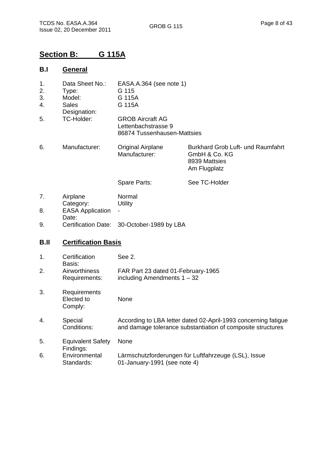# **Section B: G 115A**

#### **B.I General**

| 1. | Data Sheet No.: | EASA.A.364 (see note 1)                                                       |                                                                                     |
|----|-----------------|-------------------------------------------------------------------------------|-------------------------------------------------------------------------------------|
| 2. | Type:           | G 115                                                                         |                                                                                     |
| 3. | Model:          | G 115A                                                                        |                                                                                     |
| 4. | Sales           | G 115A                                                                        |                                                                                     |
|    | Designation:    |                                                                               |                                                                                     |
| 5. | TC-Holder:      | <b>GROB Aircraft AG</b><br>Lettenbachstrasse 9<br>86874 Tussenhausen-Mattsies |                                                                                     |
| 6. | Manufacturer:   | <b>Original Airplane</b><br>Manufacturer:                                     | Burkhard Grob Luft- und Raumfahrt<br>GmbH & Co. KG<br>8939 Mattsies<br>Am Flugplatz |

Spare Parts:

7. Airplane Category: Normal **Utility** 8. EASA Application Date: -

9. Certification Date: 30-October-1989 by LBA

### **B.II Certification Basis**

| 1. | Certification<br>Basis:               | See 2.                                                                                                                        |
|----|---------------------------------------|-------------------------------------------------------------------------------------------------------------------------------|
| 2. | Airworthiness<br>Requirements:        | FAR Part 23 dated 01-February-1965<br>including Amendments $1 - 32$                                                           |
| 3. | Requirements<br>Elected to<br>Comply: | None                                                                                                                          |
| 4. | Special<br>Conditions:                | According to LBA letter dated 02-April-1993 concerning fatigue<br>and damage tolerance substantiation of composite structures |
| 5. | <b>Equivalent Safety</b><br>Findings: | None                                                                                                                          |
| 6. | Environmental<br>Standards:           | Lärmschutzforderungen für Luftfahrzeuge (LSL), Issue<br>01-January-1991 (see note 4)                                          |

See TC-Holder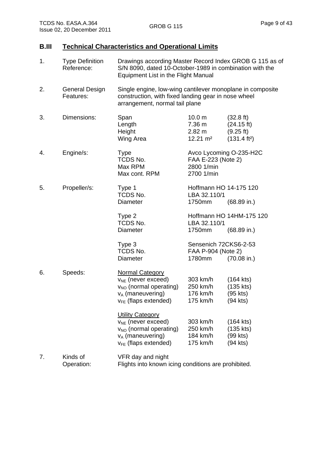#### **B.III Technical Characteristics and Operational Limits**

| 1. | <b>Type Definition</b><br>Reference: | Drawings according Master Record Index GROB G 115 as of<br>S/N 8090, dated 10-October-1989 in combination with the<br>Equipment List in the Flight Manual    |                                                                           |                                                                                      |
|----|--------------------------------------|--------------------------------------------------------------------------------------------------------------------------------------------------------------|---------------------------------------------------------------------------|--------------------------------------------------------------------------------------|
| 2. | <b>General Design</b><br>Features:   | Single engine, low-wing cantilever monoplane in composite<br>construction, with fixed landing gear in nose wheel<br>arrangement, normal tail plane           |                                                                           |                                                                                      |
| 3. | Dimensions:                          | Span<br>Length<br>Height<br>Wing Area                                                                                                                        | 10.0 <sub>m</sub><br>7.36 m<br>2.82 m<br>$12.21 \text{ m}^2$              | $(32.8 \text{ ft})$<br>$(24.15 \text{ ft})$<br>(9.25 ft)<br>(131.4 ft <sup>2</sup> ) |
| 4. | Engine/s:                            | <b>Type</b><br>TCDS No.<br>Max RPM<br>Max cont. RPM                                                                                                          | Avco Lycoming O-235-H2C<br>FAA E-223 (Note 2)<br>2800 1/min<br>2700 1/min |                                                                                      |
| 5. | Propeller/s:                         | Type 1<br>TCDS No.<br>Diameter                                                                                                                               | Hoffmann HO 14-175 120<br>LBA 32.110/1<br>1750mm                          | $(68.89 \text{ in.})$                                                                |
|    |                                      | Type 2<br>TCDS No.<br>Diameter                                                                                                                               | LBA 32.110/1<br>1750mm                                                    | Hoffmann HO 14HM-175 120<br>$(68.89 \text{ in.})$                                    |
|    |                                      | Type 3<br>TCDS No.<br>Diameter                                                                                                                               | Sensenich 72CKS6-2-53<br>FAA P-904 (Note 2)<br>1780mm                     | $(70.08 \text{ in.})$                                                                |
| 6. | Speeds:                              | <b>Normal Category</b><br>$V_{NE}$ (never exceed)<br>V <sub>NO</sub> (normal operating)<br>$v_A$ (maneuvering)<br>$V_{FE}$ (flaps extended)                  | 303 km/h<br>250 km/h<br>176 km/h<br>175 km/h                              | $(164$ kts)<br>$(135$ kts)<br>$(95$ kts)<br>(94 kts)                                 |
|    |                                      | <b>Utility Category</b><br>V <sub>NE</sub> (never exceed)<br>V <sub>NO</sub> (normal operating)<br>v <sub>A</sub> (maneuvering)<br>$v_{FE}$ (flaps extended) | 303 km/h<br>250 km/h<br>184 km/h<br>175 km/h                              | $(164$ kts)<br>$(135$ kts)<br>(99 kts)<br>(94 kts)                                   |
| 7. | Kinds of<br>Operation:               | VFR day and night<br>Flights into known icing conditions are prohibited.                                                                                     |                                                                           |                                                                                      |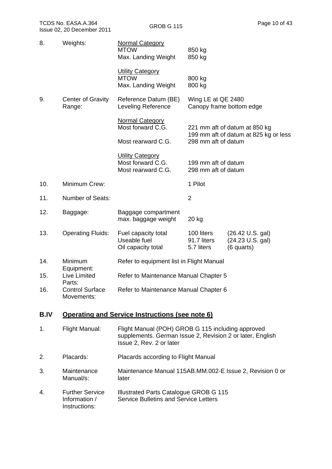| 8.   | Weights:                                                 | <b>Normal Category</b><br><b>MTOW</b><br>Max. Landing Weight                                                                               | 850 kg<br>850 kg                                                       |                                                         |
|------|----------------------------------------------------------|--------------------------------------------------------------------------------------------------------------------------------------------|------------------------------------------------------------------------|---------------------------------------------------------|
|      |                                                          | <b>Utility Category</b><br><b>MTOW</b><br>Max. Landing Weight                                                                              | 800 kg<br>800 kg                                                       |                                                         |
| 9.   | <b>Center of Gravity</b><br>Range:                       | Reference Datum (BE)<br><b>Leveling Reference</b>                                                                                          | Wing LE at QE 2480                                                     | Canopy frame bottom edge                                |
|      |                                                          | <b>Normal Category</b><br>Most forward C.G.                                                                                                | 221 mm aft of datum at 850 kg<br>199 mm aft of datum at 825 kg or less |                                                         |
|      |                                                          | Most rearward C.G.                                                                                                                         | 298 mm aft of datum                                                    |                                                         |
|      |                                                          | <b>Utility Category</b><br>Most forward C.G.<br>Most rearward C.G.                                                                         | 199 mm aft of datum<br>298 mm aft of datum                             |                                                         |
| 10.  | Minimum Crew:                                            |                                                                                                                                            | 1 Pilot                                                                |                                                         |
| 11.  | <b>Number of Seats:</b>                                  |                                                                                                                                            | $\overline{2}$                                                         |                                                         |
| 12.  | Baggage:                                                 | Baggage compartment<br>max. baggage weight                                                                                                 | 20 kg                                                                  |                                                         |
| 13.  | <b>Operating Fluids:</b>                                 | Fuel capacity total<br>Useable fuel<br>Oil capacity total                                                                                  | 100 liters<br>91.7 liters<br>5.7 liters                                | $(26.42 \cup S. gal)$<br>(24.23 U.S. gal)<br>(6 quarts) |
| 14.  | Minimum                                                  | Refer to equipment list in Flight Manual                                                                                                   |                                                                        |                                                         |
| 15.  | Equipment:<br>Live Limited                               | Refer to Maintenance Manual Chapter 5                                                                                                      |                                                                        |                                                         |
| 16.  | Parts:<br><b>Control Surface</b><br>Movements:           | Refer to Maintenance Manual Chapter 6                                                                                                      |                                                                        |                                                         |
| B.IV |                                                          | <b>Operating and Service Instructions (see note 6)</b>                                                                                     |                                                                        |                                                         |
| 1.   | Flight Manual:                                           | Flight Manual (POH) GROB G 115 including approved<br>supplements. German Issue 2, Revision 2 or later, English<br>Issue 2, Rev. 2 or later |                                                                        |                                                         |
| 2.   | Placards:                                                | Placards according to Flight Manual                                                                                                        |                                                                        |                                                         |
| 3.   | Maintenance<br>Manual/s:                                 | Maintenance Manual 115AB.MM.002-E Issue 2, Revision 0 or<br>later                                                                          |                                                                        |                                                         |
| 4.   | <b>Further Service</b><br>Information /<br>Instructions: | Illustrated Parts Catalogue GROB G 115<br><b>Service Bulletins and Service Letters</b>                                                     |                                                                        |                                                         |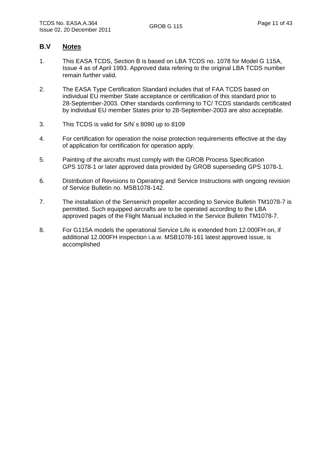#### **B.V Notes**

- 1. This EASA TCDS, Section B is based on LBA TCDS no. 1078 for Model G 115A, Issue 4 as of April 1993. Approved data refering to the original LBA TCDS number remain further valid.
- 2. The EASA Type Certification Standard includes that of FAA TCDS based on individual EU member State acceptance or certification of this standard prior to 28-September-2003. Other standards confirming to TC/ TCDS standards certificated by individual EU member States prior to 28-September-2003 are also acceptable.
- 3. This TCDS is valid for S/N´s 8090 up to 8109
- 4. For certification for operation the noise protection requirements effective at the day of application for certification for operation apply.
- 5. Painting of the aircrafts must comply with the GROB Process Specification GPS 1078-1 or later approved data provided by GROB superseding GPS 1078-1.
- 6. Distribution of Revisions to Operating and Service Instructions with ongoing revision of Service Bulletin no. MSB1078-142.
- 7. The installation of the Sensenich propeller according to Service Bulletin TM1078-7 is permitted. Such equipped aircrafts are to be operated according to the LBA approved pages of the Flight Manual included in the Service Bulletin TM1078-7.
- 8. For G115A models the operational Service Life is extended from 12.000FH on, if additional 12.000FH inspection i.a.w. MSB1078-161 latest approved issue, is accomplished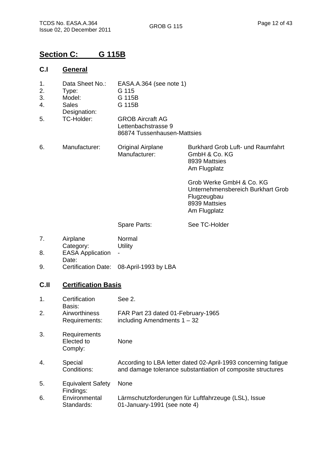# **Section C: G 115B**

#### **C.I General**

- 1. Data Sheet No.: EASA.A.364 (see note 1)
- 2. Type: G 115<br>3. Model: G 115
- 3. Model: G 115B
- 4. Sales Designation: G 115B
- 5. TC-Holder: GROB Aircraft AG Lettenbachstrasse 9 86874 Tussenhausen-Mattsies
- 6. Manufacturer: Original Airplane Manufacturer: Burkhard Grob Luft- und Raumfahrt GmbH & Co. KG 8939 Mattsies Am Flugplatz

Grob Werke GmbH & Co. KG Unternehmensbereich Burkhart Grob Flugzeugbau 8939 Mattsies Am Flugplatz

Spare Parts:

See TC-Holder

- 7. Airplane Category: Normal **Utility**
- 8. EASA Application Date: -
- 9. Certification Date: 08-April-1993 by LBA

#### **C.II Certification Basis**

| 1. | Certification<br>Basis:               | See 2.                                                                                                                        |
|----|---------------------------------------|-------------------------------------------------------------------------------------------------------------------------------|
| 2. | Airworthiness<br>Requirements:        | FAR Part 23 dated 01-February-1965<br>including Amendments $1 - 32$                                                           |
| 3. | Requirements<br>Elected to<br>Comply: | None                                                                                                                          |
| 4. | Special<br>Conditions:                | According to LBA letter dated 02-April-1993 concerning fatigue<br>and damage tolerance substantiation of composite structures |
| 5. | <b>Equivalent Safety</b><br>Findings: | None                                                                                                                          |
| 6. | Environmental<br>Standards:           | Lärmschutzforderungen für Luftfahrzeuge (LSL), Issue<br>01-January-1991 (see note 4)                                          |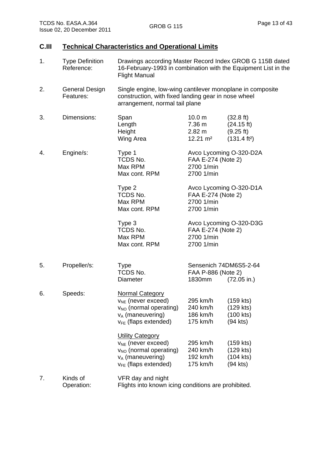### **C.III Technical Characteristics and Operational Limits**

| 1. | <b>Type Definition</b><br>Reference: | Drawings according Master Record Index GROB G 115B dated<br>16-February-1993 in combination with the Equipment List in the<br><b>Flight Manual</b>   |                                                                           |                                                                                      |
|----|--------------------------------------|------------------------------------------------------------------------------------------------------------------------------------------------------|---------------------------------------------------------------------------|--------------------------------------------------------------------------------------|
| 2. | General Design<br>Features:          | Single engine, low-wing cantilever monoplane in composite<br>construction, with fixed landing gear in nose wheel<br>arrangement, normal tail plane   |                                                                           |                                                                                      |
| 3. | Dimensions:                          | Span<br>Length<br>Height<br>Wing Area                                                                                                                | 10.0 <sub>m</sub><br>7.36 m<br>$2.82 \text{ m}$<br>$12.21 \text{ m}^2$    | $(32.8 \text{ ft})$<br>$(24.15 \text{ ft})$<br>(9.25 ft)<br>(131.4 ft <sup>2</sup> ) |
| 4. | Engine/s:                            | Type 1<br>TCDS No.<br>Max RPM<br>Max cont. RPM                                                                                                       | Avco Lycoming O-320-D2A<br>FAA E-274 (Note 2)<br>2700 1/min<br>2700 1/min |                                                                                      |
|    |                                      | Type 2<br>TCDS No.<br>Max RPM<br>Max cont. RPM                                                                                                       | Avco Lycoming O-320-D1A<br>FAA E-274 (Note 2)<br>2700 1/min<br>2700 1/min |                                                                                      |
|    |                                      | Type 3<br>TCDS No.<br>Max RPM<br>Max cont. RPM                                                                                                       | FAA E-274 (Note 2)<br>2700 1/min<br>2700 1/min                            | Avco Lycoming O-320-D3G                                                              |
| 5. | Propeller/s:                         | <b>Type</b><br>TCDS No.<br>Diameter                                                                                                                  | Sensenich 74DM6S5-2-64<br>FAA P-886 (Note 2)<br>1830mm                    | $(72.05 \text{ in.})$                                                                |
| 6. | Speeds:                              | <b>Normal Category</b><br>$V_{NE}$ (never exceed)<br>V <sub>NO</sub> (normal operating) 240 km/h<br>$v_A$ (maneuvering)<br>$v_{FE}$ (flaps extended) | 295 km/h<br>186 km/h<br>175 km/h                                          | $(159$ kts)<br>$(129$ kts)<br>(100 kts)<br>(94 kts)                                  |
|    |                                      | <b>Utility Category</b><br>$V_{NE}$ (never exceed)<br>V <sub>NO</sub> (normal operating)<br>$v_A$ (maneuvering)<br>$V_{FE}$ (flaps extended)         | 295 km/h<br>240 km/h<br>192 km/h<br>175 km/h                              | (159 kts)<br>$(129$ kts)<br>(104 kts)<br>(94 kts)                                    |
| 7. | Kinds of                             | VFR day and night                                                                                                                                    |                                                                           |                                                                                      |

Operation: Flights into known icing conditions are prohibited.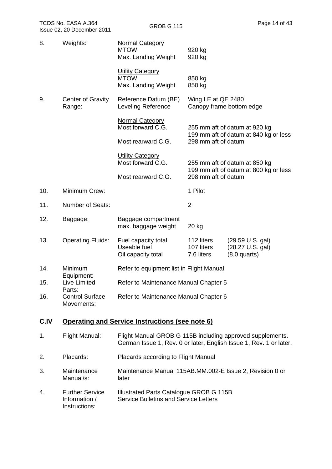|      |                                      | Max. Landing Weight                                                                                                             | 920 kg                                                                                                                                                                                         |                                                                  |
|------|--------------------------------------|---------------------------------------------------------------------------------------------------------------------------------|------------------------------------------------------------------------------------------------------------------------------------------------------------------------------------------------|------------------------------------------------------------------|
|      |                                      | <b>Utility Category</b><br><b>MTOW</b><br>Max. Landing Weight                                                                   | 850 kg<br>850 kg                                                                                                                                                                               |                                                                  |
| 9.   | <b>Center of Gravity</b><br>Range:   | Reference Datum (BE)<br>Leveling Reference                                                                                      | Wing LE at QE 2480                                                                                                                                                                             | Canopy frame bottom edge                                         |
|      |                                      | <b>Normal Category</b><br>Most forward C.G.                                                                                     | 255 mm aft of datum at 920 kg<br>199 mm aft of datum at 840 kg or less<br>298 mm aft of datum<br>255 mm aft of datum at 850 kg<br>199 mm aft of datum at 800 kg or less<br>298 mm aft of datum |                                                                  |
|      |                                      | Most rearward C.G.                                                                                                              |                                                                                                                                                                                                |                                                                  |
|      |                                      | <b>Utility Category</b><br>Most forward C.G.                                                                                    |                                                                                                                                                                                                |                                                                  |
|      |                                      | Most rearward C.G.                                                                                                              |                                                                                                                                                                                                |                                                                  |
| 10.  | Minimum Crew:                        |                                                                                                                                 | 1 Pilot                                                                                                                                                                                        |                                                                  |
| 11.  | Number of Seats:                     |                                                                                                                                 | $\overline{2}$                                                                                                                                                                                 |                                                                  |
| 12.  | Baggage:                             | Baggage compartment<br>max. baggage weight                                                                                      | 20 kg                                                                                                                                                                                          |                                                                  |
| 13.  | <b>Operating Fluids:</b>             | Fuel capacity total<br>Useable fuel<br>Oil capacity total                                                                       | 112 liters<br>107 liters<br>7.6 liters                                                                                                                                                         | $(29.59 \text{ U.S. gal})$<br>(28.27 U.S. gal)<br>$(8.0$ quarts) |
| 14.  | Minimum<br>Equipment:                | Refer to equipment list in Flight Manual                                                                                        |                                                                                                                                                                                                |                                                                  |
| 15.  | Live Limited<br>Parts:               | Refer to Maintenance Manual Chapter 5                                                                                           |                                                                                                                                                                                                |                                                                  |
| 16.  | <b>Control Surface</b><br>Movements: | Refer to Maintenance Manual Chapter 6                                                                                           |                                                                                                                                                                                                |                                                                  |
| C.IV |                                      | <b>Operating and Service Instructions (see note 6)</b>                                                                          |                                                                                                                                                                                                |                                                                  |
| 1.   | <b>Flight Manual:</b>                | Flight Manual GROB G 115B including approved supplements.<br>German Issue 1, Rev. 0 or later, English Issue 1, Rev. 1 or later, |                                                                                                                                                                                                |                                                                  |

- 2. Placards: Placards according to Flight Manual
- 3. Maintenance Manual/s: Maintenance Manual 115AB.MM.002-E Issue 2, Revision 0 or later
- 4. Further Service Information / Instructions: Illustrated Parts Catalogue GROB G 115B Service Bulletins and Service Letters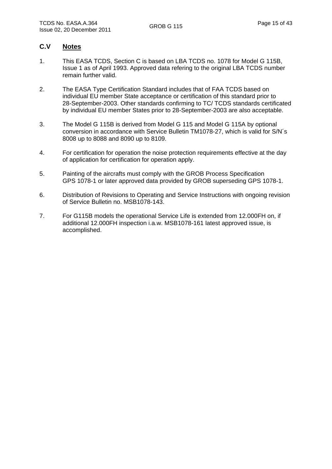#### **C.V Notes**

- 1. This EASA TCDS, Section C is based on LBA TCDS no. 1078 for Model G 115B, Issue 1 as of April 1993. Approved data refering to the original LBA TCDS number remain further valid.
- 2. The EASA Type Certification Standard includes that of FAA TCDS based on individual EU member State acceptance or certification of this standard prior to 28-September-2003. Other standards confirming to TC/ TCDS standards certificated by individual EU member States prior to 28-September-2003 are also acceptable.
- 3. The Model G 115B is derived from Model G 115 and Model G 115A by optional conversion in accordance with Service Bulletin TM1078-27, which is valid for S/N´s 8008 up to 8088 and 8090 up to 8109.
- 4. For certification for operation the noise protection requirements effective at the day of application for certification for operation apply.
- 5. Painting of the aircrafts must comply with the GROB Process Specification GPS 1078-1 or later approved data provided by GROB superseding GPS 1078-1.
- 6. Distribution of Revisions to Operating and Service Instructions with ongoing revision of Service Bulletin no. MSB1078-143.
- 7. For G115B models the operational Service Life is extended from 12.000FH on, if additional 12.000FH inspection i.a.w. MSB1078-161 latest approved issue, is accomplished.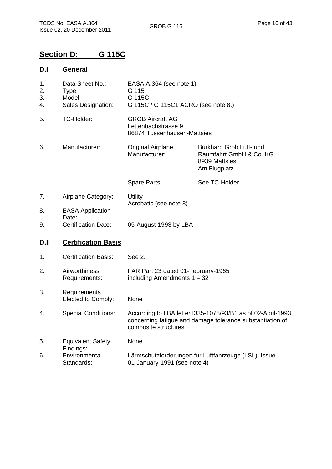# **Section D: G 115C**

### **D.I General**

| 1.<br>2.<br>3.<br>4. | Data Sheet No.:<br>Type:<br>Model:<br>Sales Designation: | EASA.A.364 (see note 1)<br>G 115<br>G 115C<br>G 115C / G 115C1 ACRO (see note 8.)                                                                |                                                                                     |  |
|----------------------|----------------------------------------------------------|--------------------------------------------------------------------------------------------------------------------------------------------------|-------------------------------------------------------------------------------------|--|
| 5.                   | TC-Holder:                                               | <b>GROB Aircraft AG</b><br>Lettenbachstrasse 9<br>86874 Tussenhausen-Mattsies                                                                    |                                                                                     |  |
| 6.                   | Manufacturer:                                            | <b>Original Airplane</b><br>Manufacturer:                                                                                                        | Burkhard Grob Luft- und<br>Raumfahrt GmbH & Co. KG<br>8939 Mattsies<br>Am Flugplatz |  |
|                      |                                                          | Spare Parts:                                                                                                                                     | See TC-Holder                                                                       |  |
| 7.                   | Airplane Category:                                       | Utility<br>Acrobatic (see note 8)                                                                                                                |                                                                                     |  |
| 8.                   | <b>EASA Application</b><br>Date:                         |                                                                                                                                                  |                                                                                     |  |
| 9.                   | <b>Certification Date:</b>                               | 05-August-1993 by LBA                                                                                                                            |                                                                                     |  |
| D.II                 | <b>Certification Basis</b>                               |                                                                                                                                                  |                                                                                     |  |
| 1.                   | <b>Certification Basis:</b>                              | See 2.                                                                                                                                           |                                                                                     |  |
| 2.                   | Airworthiness<br>Requirements:                           | FAR Part 23 dated 01-February-1965<br>including Amendments $1 - 32$                                                                              |                                                                                     |  |
| 3.                   | Requirements<br>Elected to Comply:                       | None                                                                                                                                             |                                                                                     |  |
| 4.                   | <b>Special Conditions:</b>                               | According to LBA letter I335-1078/93/B1 as of 02-April-1993<br>concerning fatigue and damage tolerance substantiation of<br>composite structures |                                                                                     |  |
| 5.                   | <b>Equivalent Safety</b><br>Findings:                    | None                                                                                                                                             |                                                                                     |  |
| 6.                   | Environmental<br>Standards:                              | Lärmschutzforderungen für Luftfahrzeuge (LSL), Issue<br>01-January-1991 (see note 4)                                                             |                                                                                     |  |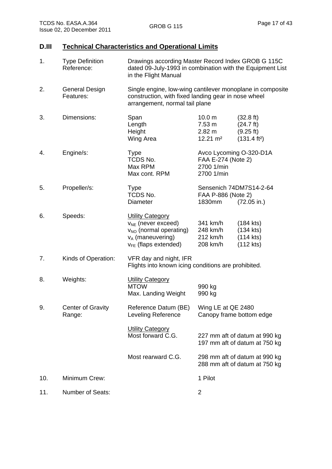### **D.III Technical Characteristics and Operational Limits**

| 1.  | <b>Type Definition</b><br>Reference: | Drawings according Master Record Index GROB G 115C<br>dated 09-July-1993 in combination with the Equipment List<br>in the Flight Manual            |                                                                                  |                                                                                     |
|-----|--------------------------------------|----------------------------------------------------------------------------------------------------------------------------------------------------|----------------------------------------------------------------------------------|-------------------------------------------------------------------------------------|
| 2.  | General Design<br>Features:          | Single engine, low-wing cantilever monoplane in composite<br>construction, with fixed landing gear in nose wheel<br>arrangement, normal tail plane |                                                                                  |                                                                                     |
| 3.  | Dimensions:                          | Span<br>Length<br>Height<br>Wing Area                                                                                                              | 10.0 <sub>m</sub><br>$7.53 \text{ m}$<br>$2.82 \text{ m}$<br>$12.21 \text{ m}^2$ | $(32.8 \text{ ft})$<br>$(24.7 \text{ ft})$<br>(9.25 ft)<br>(131.4 ft <sup>2</sup> ) |
| 4.  | Engine/s:                            | <b>Type</b><br>TCDS No.<br>Max RPM<br>Max cont. RPM                                                                                                | Avco Lycoming O-320-D1A<br>FAA E-274 (Note 2)<br>2700 1/min<br>2700 1/min        |                                                                                     |
| 5.  | Propeller/s:                         | <b>Type</b><br>TCDS No.<br><b>Diameter</b>                                                                                                         | Sensenich 74DM7S14-2-64<br>FAA P-886 (Note 2)<br>1830mm<br>$(72.05 \text{ in.})$ |                                                                                     |
| 6.  | Speeds:                              | <b>Utility Category</b><br>$v_{NE}$ (never exceed)<br>V <sub>NO</sub> (normal operating)<br>$v_A$ (maneuvering)<br>$v_{FE}$ (flaps extended)       | 341 km/h<br>248 km/h<br>212 km/h<br>208 km/h                                     | $(184$ kts)<br>$(134$ kts)<br>$(114$ kts)<br>$(112$ kts)                            |
| 7.  | Kinds of Operation:                  | VFR day and night, IFR<br>Flights into known icing conditions are prohibited.                                                                      |                                                                                  |                                                                                     |
| 8.  | Weights:                             | <b>Utility Category</b><br><b>MTOW</b><br>Max. Landing Weight                                                                                      | 990 kg<br>990 kg                                                                 |                                                                                     |
| 9.  | Center of Gravity<br>Range:          | Reference Datum (BE)<br>Leveling Reference                                                                                                         | Wing LE at QE 2480<br>Canopy frame bottom edge                                   |                                                                                     |
|     |                                      | <b>Utility Category</b><br>Most forward C.G.                                                                                                       |                                                                                  | 227 mm aft of datum at 990 kg<br>197 mm aft of datum at 750 kg                      |
|     |                                      | Most rearward C.G.                                                                                                                                 |                                                                                  | 298 mm aft of datum at 990 kg<br>288 mm aft of datum at 750 kg                      |
| 10. | Minimum Crew:                        |                                                                                                                                                    | 1 Pilot                                                                          |                                                                                     |
| 11. | Number of Seats:                     |                                                                                                                                                    | 2                                                                                |                                                                                     |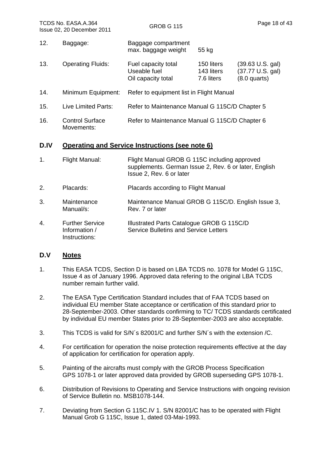- 12. Baggage: Baggage compartment max. baggage weight 55 kg 13. Operating Fluids: Fuel capacity total Useable fuel Oil capacity total 150 liters (39.63 U.S. gal) 143 liters (37.77 U.S. gal) 7.6 liters (8.0 quarts) 14. Minimum Equipment: Refer to equipment list in Flight Manual
- 15. Live Limited Parts: Refer to Maintenance Manual G 115C/D Chapter 5
- 16. Control Surface Movements: Refer to Maintenance Manual G 115C/D Chapter 6

#### **D.IV Operating and Service Instructions (see note 6)**

- 1. Flight Manual: Flight Manual GROB G 115C including approved supplements. German Issue 2, Rev. 6 or later, English Issue 2, Rev. 6 or later
- 2. Placards: Placards according to Flight Manual
- 3. Maintenance Manual/s: Maintenance Manual GROB G 115C/D. English Issue 3, Rev. 7 or later
- 4. Further Service Information / Instructions: Illustrated Parts Catalogue GROB G 115C/D Service Bulletins and Service Letters

#### **D.V Notes**

- 1. This EASA TCDS, Section D is based on LBA TCDS no. 1078 for Model G 115C, Issue 4 as of January 1996. Approved data refering to the original LBA TCDS number remain further valid.
- 2. The EASA Type Certification Standard includes that of FAA TCDS based on individual EU member State acceptance or certification of this standard prior to 28-September-2003. Other standards confirming to TC/ TCDS standards certificated by individual EU member States prior to 28-September-2003 are also acceptable.
- 3. This TCDS is valid for S/N´s 82001/C and further S/N´s with the extension /C.
- 4. For certification for operation the noise protection requirements effective at the day of application for certification for operation apply.
- 5. Painting of the aircrafts must comply with the GROB Process Specification GPS 1078-1 or later approved data provided by GROB superseding GPS 1078-1.
- 6. Distribution of Revisions to Operating and Service Instructions with ongoing revision of Service Bulletin no. MSB1078-144.
- 7. Deviating from Section G 115C.IV 1. S/N 82001/C has to be operated with Flight Manual Grob G 115C, Issue 1, dated 03-Mai-1993.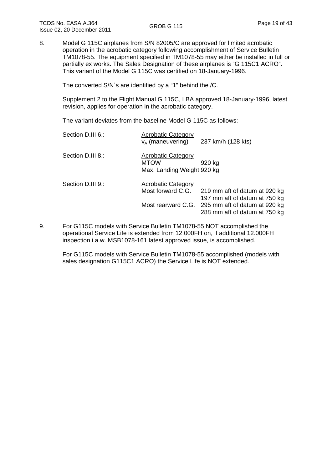8. Model G 115C airplanes from S/N 82005/C are approved for limited acrobatic operation in the acrobatic category following accomplishment of Service Bulletin TM1078-55. The equipment specified in TM1078-55 may either be installed in full or partially ex works. The Sales Designation of these airplanes is "G 115C1 ACRO". This variant of the Model G 115C was certified on 18-January-1996.

The converted S/N´s are identified by a "1" behind the /C.

Supplement 2 to the Flight Manual G 115C, LBA approved 18-January-1996, latest revision, applies for operation in the acrobatic category.

The variant deviates from the baseline Model G 115C as follows:

| Section D.III 6.: | <b>Acrobatic Category</b><br>$v_A$ (maneuvering)                       | 237 km/h (128 kts)                                                                                                               |
|-------------------|------------------------------------------------------------------------|----------------------------------------------------------------------------------------------------------------------------------|
| Section D.III 8.: | <b>Acrobatic Category</b><br><b>MTOW</b><br>Max. Landing Weight 920 kg | 920 kg                                                                                                                           |
| Section D.III 9.: | <b>Acrobatic Category</b><br>Most forward C.G.<br>Most rearward C.G.   | 219 mm aft of datum at 920 kg<br>197 mm aft of datum at 750 kg<br>295 mm aft of datum at 920 kg<br>288 mm aft of datum at 750 kg |

9. For G115C models with Service Bulletin TM1078-55 NOT accomplished the operational Service Life is extended from 12.000FH on, if additional 12.000FH inspection i.a.w. MSB1078-161 latest approved issue, is accomplished.

For G115C models with Service Bulletin TM1078-55 accomplished (models with sales designation G115C1 ACRO) the Service Life is NOT extended.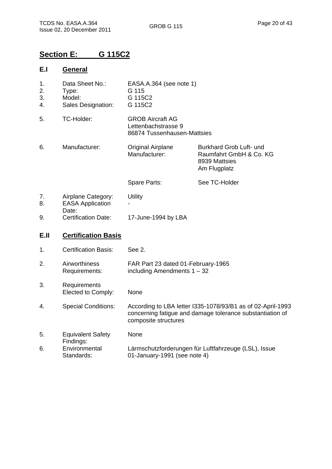# **Section E: G 115C2**

### **E.I General**

| 1.<br>2.<br>3.<br>4. | Data Sheet No.:<br>Type:<br>Model:<br>Sales Designation: | EASA.A.364 (see note 1)<br>G 115<br>G 115C2<br>G 115C2                                                                                           |                                                                                     |  |
|----------------------|----------------------------------------------------------|--------------------------------------------------------------------------------------------------------------------------------------------------|-------------------------------------------------------------------------------------|--|
| 5.                   | TC-Holder:                                               | <b>GROB Aircraft AG</b><br>Lettenbachstrasse 9<br>86874 Tussenhausen-Mattsies                                                                    |                                                                                     |  |
| 6.                   | Manufacturer:                                            | <b>Original Airplane</b><br>Manufacturer:                                                                                                        | Burkhard Grob Luft- und<br>Raumfahrt GmbH & Co. KG<br>8939 Mattsies<br>Am Flugplatz |  |
|                      |                                                          | Spare Parts:                                                                                                                                     | See TC-Holder                                                                       |  |
| 7.<br>8.             | Airplane Category:<br><b>EASA Application</b><br>Date:   | Utility                                                                                                                                          |                                                                                     |  |
| 9.                   | <b>Certification Date:</b>                               | 17-June-1994 by LBA                                                                                                                              |                                                                                     |  |
| E.II                 | <b>Certification Basis</b>                               |                                                                                                                                                  |                                                                                     |  |
| 1.                   | <b>Certification Basis:</b>                              | See 2.                                                                                                                                           |                                                                                     |  |
| 2.                   | Airworthiness<br>Requirements:                           | FAR Part 23 dated 01-February-1965<br>including Amendments $1 - 32$                                                                              |                                                                                     |  |
| 3.                   | Requirements<br>Elected to Comply:                       | None                                                                                                                                             |                                                                                     |  |
| 4.                   | <b>Special Conditions:</b>                               | According to LBA letter I335-1078/93/B1 as of 02-April-1993<br>concerning fatigue and damage tolerance substantiation of<br>composite structures |                                                                                     |  |
| 5.                   | <b>Equivalent Safety</b><br>Findings:                    | None                                                                                                                                             |                                                                                     |  |
| 6.                   | Environmental<br>Standards:                              | Lärmschutzforderungen für Luftfahrzeuge (LSL), Issue<br>01-January-1991 (see note 4)                                                             |                                                                                     |  |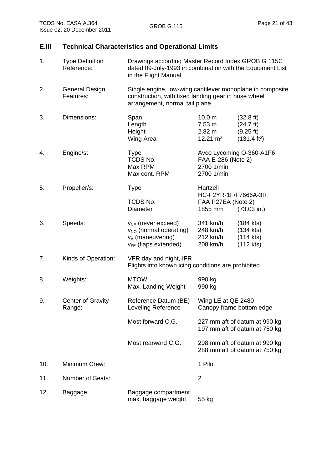# **E.III Technical Characteristics and Operational Limits**

| 1.  | <b>Type Definition</b><br>Reference: | Drawings according Master Record Index GROB G 115C<br>dated 09-July-1993 in combination with the Equipment List<br>in the Flight Manual            |                                                                            |                                                                                     |
|-----|--------------------------------------|----------------------------------------------------------------------------------------------------------------------------------------------------|----------------------------------------------------------------------------|-------------------------------------------------------------------------------------|
| 2.  | <b>General Design</b><br>Features:   | Single engine, low-wing cantilever monoplane in composite<br>construction, with fixed landing gear in nose wheel<br>arrangement, normal tail plane |                                                                            |                                                                                     |
| 3.  | Dimensions:                          | Span<br>Length<br>Height<br>Wing Area                                                                                                              | 10.0 <sub>m</sub><br>7.53 m<br>$2.82 \text{ m}$<br>$12.21 \text{ m}^2$     | $(32.8 \text{ ft})$<br>$(24.7 \text{ ft})$<br>(9.25 ft)<br>(131.4 ft <sup>2</sup> ) |
| 4.  | Engine/s:                            | <b>Type</b><br>TCDS No.<br>Max RPM<br>Max cont. RPM                                                                                                | Avco Lycoming O-360-A1F6<br>FAA E-286 (Note 2)<br>2700 1/min<br>2700 1/min |                                                                                     |
| 5.  | Propeller/s:                         | <b>Type</b>                                                                                                                                        | Hartzell<br>HC-F2YR-1F/F7666A-3R                                           |                                                                                     |
|     |                                      | TCDS No.<br><b>Diameter</b>                                                                                                                        | FAA P27EA (Note 2)<br>1855 mm                                              | (73.03 in.)                                                                         |
| 6.  | Speeds:                              | $V_{NE}$ (never exceed)<br>V <sub>NO</sub> (normal operating)<br>$v_A$ (maneuvering)<br>$v_{FE}$ (flaps extended)                                  | 341 km/h<br>248 km/h<br>212 km/h<br>208 km/h                               | $(184$ kts)<br>$(134$ kts)<br>$(114$ kts)<br>$(112$ kts)                            |
| 7.  | Kinds of Operation:                  | VFR day and night, IFR<br>Flights into known icing conditions are prohibited.                                                                      |                                                                            |                                                                                     |
| 8.  | Weights:                             | <b>MTOW</b><br>Max. Landing Weight                                                                                                                 | 990 kg<br>990 kg                                                           |                                                                                     |
| 9.  | <b>Center of Gravity</b><br>Range:   | Reference Datum (BE)<br><b>Leveling Reference</b>                                                                                                  | Wing LE at QE 2480<br>Canopy frame bottom edge                             |                                                                                     |
|     |                                      | Most forward C.G.                                                                                                                                  |                                                                            | 227 mm aft of datum at 990 kg<br>197 mm aft of datum at 750 kg                      |
|     |                                      | Most rearward C.G.                                                                                                                                 |                                                                            | 298 mm aft of datum at 990 kg<br>288 mm aft of datum at 750 kg                      |
| 10. | Minimum Crew:                        |                                                                                                                                                    | 1 Pilot                                                                    |                                                                                     |
| 11. | <b>Number of Seats:</b>              |                                                                                                                                                    | $\overline{2}$                                                             |                                                                                     |
| 12. | Baggage:                             | Baggage compartment<br>max. baggage weight                                                                                                         | 55 kg                                                                      |                                                                                     |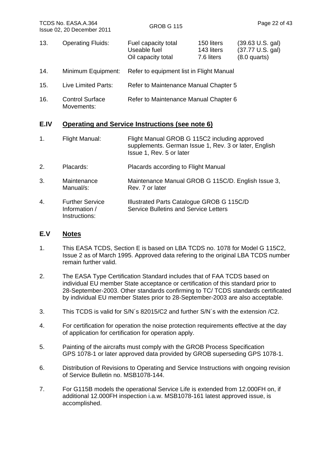13. Operating Fluids: Fuel capacity total Useable fuel Oil capacity total 150 liters (39.63 U.S. gal) 143 liters (37.77 U.S. gal) 7.6 liters (8.0 quarts) 14. Minimum Equipment: Refer to equipment list in Flight Manual 15. Live Limited Parts: Refer to Maintenance Manual Chapter 5 16. Control Surface Movements: Refer to Maintenance Manual Chapter 6

#### **E.IV Operating and Service Instructions (see note 6)**

- 1. Flight Manual: Flight Manual GROB G 115C2 including approved supplements. German Issue 1, Rev. 3 or later, English Issue 1, Rev. 5 or later
- 2. Placards: Placards according to Flight Manual
- 3. Maintenance Manual/s: Maintenance Manual GROB G 115C/D. English Issue 3, Rev. 7 or later
- 4. Further Service Information / Instructions: Illustrated Parts Catalogue GROB G 115C/D Service Bulletins and Service Letters

#### **E.V Notes**

- 1. This EASA TCDS, Section E is based on LBA TCDS no. 1078 for Model G 115C2, Issue 2 as of March 1995. Approved data refering to the original LBA TCDS number remain further valid.
- 2. The EASA Type Certification Standard includes that of FAA TCDS based on individual EU member State acceptance or certification of this standard prior to 28-September-2003. Other standards confirming to TC/ TCDS standards certificated by individual EU member States prior to 28-September-2003 are also acceptable.
- 3. This TCDS is valid for S/N´s 82015/C2 and further S/N´s with the extension /C2.
- 4. For certification for operation the noise protection requirements effective at the day of application for certification for operation apply.
- 5. Painting of the aircrafts must comply with the GROB Process Specification GPS 1078-1 or later approved data provided by GROB superseding GPS 1078-1.
- 6. Distribution of Revisions to Operating and Service Instructions with ongoing revision of Service Bulletin no. MSB1078-144.
- 7. For G115B models the operational Service Life is extended from 12.000FH on, if additional 12.000FH inspection i.a.w. MSB1078-161 latest approved issue, is accomplished.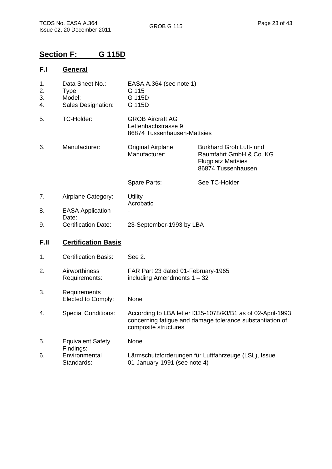# **Section F: G 115D**

### **F.I General**

| 1.<br>2.<br>3.<br>4. | Data Sheet No.:<br>Type:<br>Model:<br>Sales Designation: | EASA.A.364 (see note 1)<br>G 115<br>G 115D<br>G 115D                                                                                             |                                                                                                       |
|----------------------|----------------------------------------------------------|--------------------------------------------------------------------------------------------------------------------------------------------------|-------------------------------------------------------------------------------------------------------|
| 5.                   | TC-Holder:                                               | <b>GROB Aircraft AG</b><br>Lettenbachstrasse 9<br>86874 Tussenhausen-Mattsies                                                                    |                                                                                                       |
| 6.                   | Manufacturer:                                            | <b>Original Airplane</b><br>Manufacturer:                                                                                                        | Burkhard Grob Luft- und<br>Raumfahrt GmbH & Co. KG<br><b>Flugplatz Mattsies</b><br>86874 Tussenhausen |
|                      |                                                          | Spare Parts:                                                                                                                                     | See TC-Holder                                                                                         |
| 7.                   | Airplane Category:                                       | Utility<br>Acrobatic                                                                                                                             |                                                                                                       |
| 8.                   | <b>EASA Application</b><br>Date:                         |                                                                                                                                                  |                                                                                                       |
| 9.                   | <b>Certification Date:</b>                               | 23-September-1993 by LBA                                                                                                                         |                                                                                                       |
| F.II                 | <b>Certification Basis</b>                               |                                                                                                                                                  |                                                                                                       |
| 1.                   | <b>Certification Basis:</b>                              | See 2.                                                                                                                                           |                                                                                                       |
| 2.                   | Airworthiness<br>Requirements:                           | FAR Part 23 dated 01-February-1965<br>including Amendments $1 - 32$                                                                              |                                                                                                       |
| 3.                   | Requirements<br>Elected to Comply:                       | None                                                                                                                                             |                                                                                                       |
| 4.                   | <b>Special Conditions:</b>                               | According to LBA letter I335-1078/93/B1 as of 02-April-1993<br>concerning fatigue and damage tolerance substantiation of<br>composite structures |                                                                                                       |
| 5.                   | <b>Equivalent Safety</b><br>Findings:                    | None                                                                                                                                             |                                                                                                       |
| 6.                   | Environmental<br>Standards:                              | 01-January-1991 (see note 4)                                                                                                                     | Lärmschutzforderungen für Luftfahrzeuge (LSL), Issue                                                  |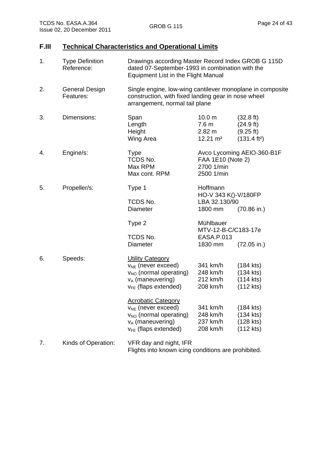# **F.III Technical Characteristics and Operational Limits**

| 1. | <b>Type Definition</b><br>Reference: | Drawings according Master Record Index GROB G 115D<br>dated 07-September-1993 in combination with the<br><b>Equipment List in the Flight Manual</b>   |                                                                                       |                                                                                     |
|----|--------------------------------------|-------------------------------------------------------------------------------------------------------------------------------------------------------|---------------------------------------------------------------------------------------|-------------------------------------------------------------------------------------|
| 2. | General Design<br>Features:          | Single engine, low-wing cantilever monoplane in composite<br>construction, with fixed landing gear in nose wheel<br>arrangement, normal tail plane    |                                                                                       |                                                                                     |
| 3. | Dimensions:                          | Span<br>Length<br>Height<br>Wing Area                                                                                                                 | 10.0 <sub>m</sub><br>7.6 m<br>$2.82 \text{ m}$<br>$12.21 \text{ m}^2$                 | $(32.8 \text{ ft})$<br>$(24.9 \text{ ft})$<br>(9.25 ft)<br>(131.4 ft <sup>2</sup> ) |
| 4. | Engine/s:                            | <b>Type</b><br>TCDS No.<br>Max RPM<br>Max cont. RPM                                                                                                   | Avco Lycoming AEIO-360-B1F<br>FAA 1E10 (Note 2)<br>2700 1/min<br>2500 1/min           |                                                                                     |
| 5. | Propeller/s:                         | Type 1<br>TCDS No.<br><b>Diameter</b>                                                                                                                 | Hoffmann<br>HO-V 343 K()-V/180FP<br>LBA 32.130/90<br>1800 mm<br>$(70.86 \text{ in.})$ |                                                                                     |
|    |                                      | Type 2<br>TCDS No.<br><b>Diameter</b>                                                                                                                 | Mühlbauer<br>MTV-12-B-C/C183-17e<br>EASA.P.013<br>1830 mm                             | $(72.05 \text{ in.})$                                                               |
| 6. | Speeds:                              | <b>Utility Category</b><br>$v_{NE}$ (never exceed)<br>v <sub>NO</sub> (normal operating)<br>$v_A$ (maneuvering)<br>$v_{FE}$ (flaps extended)          | 341 km/h<br>248 km/h<br>212 km/h<br>208 km/h                                          | $(184$ kts)<br>$(134$ kts)<br>$(114$ kts)<br>$(112$ kts)                            |
|    |                                      | <b>Acrobatic Category</b><br>V <sub>NE</sub> (never exceed)<br>V <sub>NO</sub> (normal operating)<br>$v_A$ (maneuvering)<br>$v_{FE}$ (flaps extended) | 341 km/h<br>248 km/h<br>237 km/h<br>208 km/h                                          | $(184$ kts)<br>(134 kts)<br>(128 kts)<br>$(112$ kts)                                |
| 7. | Kinds of Operation:                  | VFR day and night, IFR<br>Flights into known icing conditions are prohibited.                                                                         |                                                                                       |                                                                                     |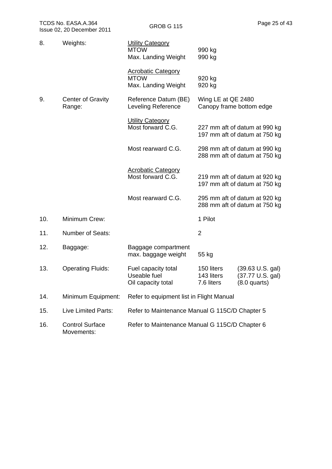| 8.  | Weights:                             | <b>Utility Category</b><br><b>MTOW</b><br>Max. Landing Weight   | 990 kg<br>990 kg                       |                                                                  |
|-----|--------------------------------------|-----------------------------------------------------------------|----------------------------------------|------------------------------------------------------------------|
|     |                                      | <b>Acrobatic Category</b><br><b>MTOW</b><br>Max. Landing Weight | 920 kg<br>920 kg                       |                                                                  |
| 9.  | <b>Center of Gravity</b><br>Range:   | Reference Datum (BE)<br>Leveling Reference                      | Wing LE at QE 2480                     | Canopy frame bottom edge                                         |
|     |                                      | <b>Utility Category</b><br>Most forward C.G.                    |                                        | 227 mm aft of datum at 990 kg<br>197 mm aft of datum at 750 kg   |
|     |                                      | Most rearward C.G.                                              |                                        | 298 mm aft of datum at 990 kg<br>288 mm aft of datum at 750 kg   |
|     |                                      | <b>Acrobatic Category</b><br>Most forward C.G.                  |                                        | 219 mm aft of datum at 920 kg<br>197 mm aft of datum at 750 kg   |
|     |                                      | Most rearward C.G.                                              |                                        | 295 mm aft of datum at 920 kg<br>288 mm aft of datum at 750 kg   |
| 10. | Minimum Crew:                        |                                                                 | 1 Pilot                                |                                                                  |
| 11. | <b>Number of Seats:</b>              |                                                                 | $\overline{2}$                         |                                                                  |
| 12. | Baggage:                             | Baggage compartment<br>max. baggage weight                      | 55 kg                                  |                                                                  |
| 13. | <b>Operating Fluids:</b>             | Fuel capacity total<br>Useable fuel<br>Oil capacity total       | 150 liters<br>143 liters<br>7.6 liters | $(39.63 \text{ U.S. gal})$<br>(37.77 U.S. gal)<br>$(8.0$ quarts) |
| 14. | Minimum Equipment:                   | Refer to equipment list in Flight Manual                        |                                        |                                                                  |
| 15. | <b>Live Limited Parts:</b>           | Refer to Maintenance Manual G 115C/D Chapter 5                  |                                        |                                                                  |
| 16. | <b>Control Surface</b><br>Movements: | Refer to Maintenance Manual G 115C/D Chapter 6                  |                                        |                                                                  |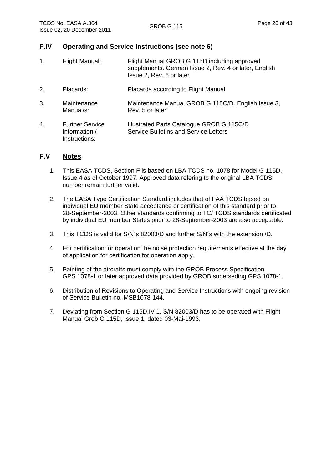- 1. Flight Manual: Flight Manual GROB G 115D including approved supplements. German Issue 2, Rev. 4 or later, English Issue 2, Rev. 6 or later
- 2. Placards: Placards according to Flight Manual
- 3. Maintenance Manual/s: Maintenance Manual GROB G 115C/D. English Issue 3, Rev. 5 or later

| 4 | <b>Further Service</b> | Illustrated Parts Catalogue GROB G 115C/D |
|---|------------------------|-------------------------------------------|
|   | Information /          | Service Bulletins and Service Letters     |
|   | Instructions:          |                                           |

#### **F.V Notes**

- 1. This EASA TCDS, Section F is based on LBA TCDS no. 1078 for Model G 115D, Issue 4 as of October 1997. Approved data refering to the original LBA TCDS number remain further valid.
- 2. The EASA Type Certification Standard includes that of FAA TCDS based on individual EU member State acceptance or certification of this standard prior to 28-September-2003. Other standards confirming to TC/ TCDS standards certificated by individual EU member States prior to 28-September-2003 are also acceptable.
- 3. This TCDS is valid for S/N´s 82003/D and further S/N´s with the extension /D.
- 4. For certification for operation the noise protection requirements effective at the day of application for certification for operation apply.
- 5. Painting of the aircrafts must comply with the GROB Process Specification GPS 1078-1 or later approved data provided by GROB superseding GPS 1078-1.
- 6. Distribution of Revisions to Operating and Service Instructions with ongoing revision of Service Bulletin no. MSB1078-144.
- 7. Deviating from Section G 115D.IV 1. S/N 82003/D has to be operated with Flight Manual Grob G 115D, Issue 1, dated 03-Mai-1993.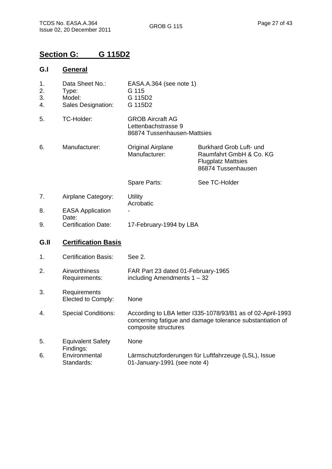# **Section G: G 115D2**

### **G.I General**

| 1.<br>2.<br>3.<br>4. | Data Sheet No.:<br>Type:<br>Model:<br>Sales Designation: | EASA.A.364 (see note 1)<br>G 115<br>G 115D2<br>G 115D2                                                                                           |                                                                                                       |
|----------------------|----------------------------------------------------------|--------------------------------------------------------------------------------------------------------------------------------------------------|-------------------------------------------------------------------------------------------------------|
| 5.                   | TC-Holder:                                               | <b>GROB Aircraft AG</b><br>Lettenbachstrasse 9<br>86874 Tussenhausen-Mattsies                                                                    |                                                                                                       |
| 6.                   | Manufacturer:                                            | <b>Original Airplane</b><br>Manufacturer:                                                                                                        | Burkhard Grob Luft- und<br>Raumfahrt GmbH & Co. KG<br><b>Flugplatz Mattsies</b><br>86874 Tussenhausen |
|                      |                                                          | Spare Parts:                                                                                                                                     | See TC-Holder                                                                                         |
| 7.                   | Airplane Category:                                       | <b>Utility</b><br>Acrobatic                                                                                                                      |                                                                                                       |
| 8.                   | <b>EASA Application</b>                                  |                                                                                                                                                  |                                                                                                       |
| 9.                   | Date:<br><b>Certification Date:</b>                      | 17-February-1994 by LBA                                                                                                                          |                                                                                                       |
| G.II                 | <b>Certification Basis</b>                               |                                                                                                                                                  |                                                                                                       |
| 1.                   | <b>Certification Basis:</b>                              | See 2.                                                                                                                                           |                                                                                                       |
| 2.                   | Airworthiness<br>Requirements:                           | FAR Part 23 dated 01-February-1965<br>including Amendments $1 - 32$                                                                              |                                                                                                       |
| 3.                   | Requirements<br>Elected to Comply:                       | None                                                                                                                                             |                                                                                                       |
| 4.                   | <b>Special Conditions:</b>                               | According to LBA letter I335-1078/93/B1 as of 02-April-1993<br>concerning fatigue and damage tolerance substantiation of<br>composite structures |                                                                                                       |
| 5.                   | <b>Equivalent Safety</b><br>Findings:                    | None                                                                                                                                             |                                                                                                       |
| 6.                   | Environmental<br>Standards:                              | Lärmschutzforderungen für Luftfahrzeuge (LSL), Issue<br>01-January-1991 (see note 4)                                                             |                                                                                                       |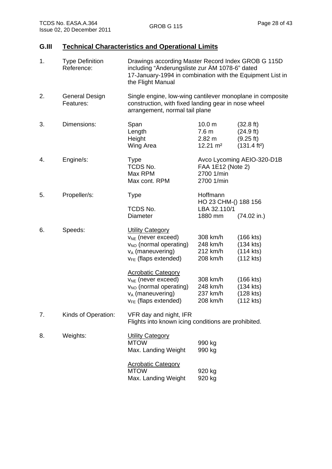# **G.III Technical Characteristics and Operational Limits**

| 1. | <b>Type Definition</b><br>Reference: | Drawings according Master Record Index GROB G 115D<br>including "Änderungsliste zur ÄM 1078-6" dated<br>17-January-1994 in combination with the Equipment List in<br>the Flight Manual |                                                                             |                                                                                     |  |
|----|--------------------------------------|----------------------------------------------------------------------------------------------------------------------------------------------------------------------------------------|-----------------------------------------------------------------------------|-------------------------------------------------------------------------------------|--|
| 2. | General Design<br>Features:          | Single engine, low-wing cantilever monoplane in composite<br>construction, with fixed landing gear in nose wheel<br>arrangement, normal tail plane                                     |                                                                             |                                                                                     |  |
| 3. | Dimensions:                          | Span<br>Length<br>Height<br>Wing Area                                                                                                                                                  | 10.0 <sub>m</sub><br>7.6 <sub>m</sub><br>2.82 m<br>$12.21 \text{ m}^2$      | $(32.8 \text{ ft})$<br>$(24.9 \text{ ft})$<br>(9.25 ft)<br>(131.4 ft <sup>2</sup> ) |  |
| 4. | Engine/s:                            | Type<br>TCDS No.<br>Max RPM<br>Max cont. RPM                                                                                                                                           | Avco Lycoming AEIO-320-D1B<br>FAA 1E12 (Note 2)<br>2700 1/min<br>2700 1/min |                                                                                     |  |
| 5. | Propeller/s:                         | <b>Type</b><br>TCDS No.<br><b>Diameter</b>                                                                                                                                             | Hoffmann<br>HO 23 CHM-() 188 156<br>LBA 32.110/1<br>(74.02 in.)<br>1880 mm  |                                                                                     |  |
| 6. | Speeds:                              | <b>Utility Category</b><br>$v_{NE}$ (never exceed)<br>V <sub>NO</sub> (normal operating)<br>$v_A$ (maneuvering)<br>$v_{FE}$ (flaps extended)                                           | 308 km/h<br>248 km/h<br>212 km/h<br>208 km/h                                | $(166$ kts)<br>(134 kts)<br>$(114$ kts)<br>$(112$ kts)                              |  |
|    |                                      | <b>Acrobatic Category</b><br>V <sub>NE</sub> (never exceed)<br>V <sub>NO</sub> (normal operating)<br><b>v<sub>A</sub></b> (maneuvering)<br>$v_{FE}$ (flaps extended)                   | 308 km/h<br>248 km/h<br>237 km/h<br>208 km/h                                | (166 kts)<br>$(134$ kts)<br>(128 kts)<br>$(112$ kts)                                |  |
| 7. | Kinds of Operation:                  | VFR day and night, IFR                                                                                                                                                                 | Flights into known icing conditions are prohibited.                         |                                                                                     |  |
| 8. | Weights:                             | <b>Utility Category</b><br><b>MTOW</b><br>Max. Landing Weight                                                                                                                          | 990 kg<br>990 kg                                                            |                                                                                     |  |
|    |                                      | <b>Acrobatic Category</b><br><b>MTOW</b><br>Max. Landing Weight                                                                                                                        | 920 kg<br>920 kg                                                            |                                                                                     |  |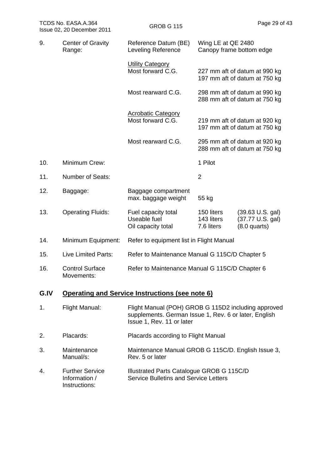| TCDS No. EASA.A.364<br>Issue 02, 20 December 2011 |                                                          | <b>GROB G 115</b>                                                                                                                         |                                                | Page 29 of 43                                                    |
|---------------------------------------------------|----------------------------------------------------------|-------------------------------------------------------------------------------------------------------------------------------------------|------------------------------------------------|------------------------------------------------------------------|
| 9.                                                | <b>Center of Gravity</b><br>Range:                       | Reference Datum (BE)<br>Leveling Reference                                                                                                | Wing LE at QE 2480<br>Canopy frame bottom edge |                                                                  |
|                                                   |                                                          | <b>Utility Category</b><br>Most forward C.G.                                                                                              |                                                | 227 mm aft of datum at 990 kg<br>197 mm aft of datum at 750 kg   |
|                                                   |                                                          | Most rearward C.G.                                                                                                                        |                                                | 298 mm aft of datum at 990 kg<br>288 mm aft of datum at 750 kg   |
|                                                   |                                                          | <b>Acrobatic Category</b><br>Most forward C.G.                                                                                            |                                                | 219 mm aft of datum at 920 kg<br>197 mm aft of datum at 750 kg   |
|                                                   |                                                          | Most rearward C.G.                                                                                                                        |                                                | 295 mm aft of datum at 920 kg<br>288 mm aft of datum at 750 kg   |
| 10.                                               | Minimum Crew:                                            |                                                                                                                                           | 1 Pilot                                        |                                                                  |
| 11.                                               | <b>Number of Seats:</b>                                  |                                                                                                                                           | $\overline{2}$                                 |                                                                  |
| 12.                                               | Baggage:                                                 | Baggage compartment<br>max. baggage weight                                                                                                | 55 kg                                          |                                                                  |
| 13.                                               | <b>Operating Fluids:</b>                                 | Fuel capacity total<br>Useable fuel<br>Oil capacity total                                                                                 | 150 liters<br>143 liters<br>7.6 liters         | $(39.63 \text{ U.S. gal})$<br>(37.77 U.S. gal)<br>$(8.0$ quarts) |
| 14.                                               | Minimum Equipment:                                       | Refer to equipment list in Flight Manual                                                                                                  |                                                |                                                                  |
| 15.                                               | Live Limited Parts:                                      | Refer to Maintenance Manual G 115C/D Chapter 5                                                                                            |                                                |                                                                  |
| 16.                                               | <b>Control Surface</b><br>Movements:                     | Refer to Maintenance Manual G 115C/D Chapter 6                                                                                            |                                                |                                                                  |
| G.IV                                              |                                                          | Operating and Service Instructions (see note 6)                                                                                           |                                                |                                                                  |
| 1.                                                | Flight Manual:                                           | Flight Manual (POH) GROB G 115D2 including approved<br>supplements. German Issue 1, Rev. 6 or later, English<br>Issue 1, Rev. 11 or later |                                                |                                                                  |
| 2.                                                | Placards:                                                | Placards according to Flight Manual                                                                                                       |                                                |                                                                  |
| 3.                                                | Maintenance<br>Manual/s:                                 | Maintenance Manual GROB G 115C/D. English Issue 3,<br>Rev. 5 or later                                                                     |                                                |                                                                  |
| 4.                                                | <b>Further Service</b><br>Information /<br>Instructions: | Illustrated Parts Catalogue GROB G 115C/D<br><b>Service Bulletins and Service Letters</b>                                                 |                                                |                                                                  |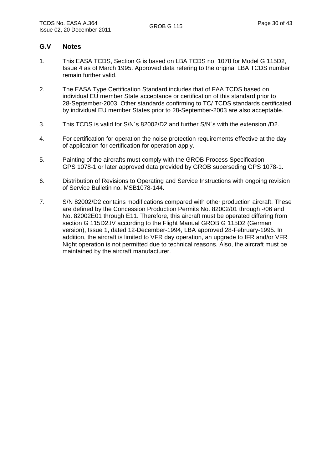#### **G.V Notes**

- 1. This EASA TCDS, Section G is based on LBA TCDS no. 1078 for Model G 115D2, Issue 4 as of March 1995. Approved data refering to the original LBA TCDS number remain further valid.
- 2. The EASA Type Certification Standard includes that of FAA TCDS based on individual EU member State acceptance or certification of this standard prior to 28-September-2003. Other standards confirming to TC/ TCDS standards certificated by individual EU member States prior to 28-September-2003 are also acceptable.
- 3. This TCDS is valid for S/N´s 82002/D2 and further S/N´s with the extension /D2.
- 4. For certification for operation the noise protection requirements effective at the day of application for certification for operation apply.
- 5. Painting of the aircrafts must comply with the GROB Process Specification GPS 1078-1 or later approved data provided by GROB superseding GPS 1078-1.
- 6. Distribution of Revisions to Operating and Service Instructions with ongoing revision of Service Bulletin no. MSB1078-144.
- 7. S/N 82002/D2 contains modifications compared with other production aircraft. These are defined by the Concession Production Permits No. 82002/01 through -/06 and No. 82002E01 through E11. Therefore, this aircraft must be operated differing from section G 115D2.IV according to the Flight Manual GROB G 115D2 (German version), Issue 1, dated 12-December-1994, LBA approved 28-February-1995. In addition, the aircraft is limited to VFR day operation, an upgrade to IFR and/or VFR Night operation is not permitted due to technical reasons. Also, the aircraft must be maintained by the aircraft manufacturer.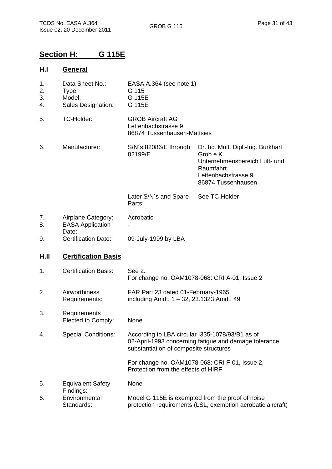# **Section H: G 115E**

#### **H.I General**

| 1.<br>2.<br>3.<br>4. | Data Sheet No.:<br>Type:<br>Model:<br>Sales Designation: | EASA.A.364 (see note 1)<br>G 115<br>G 115E<br>G 115E                                                            |                                                                                                                                           |
|----------------------|----------------------------------------------------------|-----------------------------------------------------------------------------------------------------------------|-------------------------------------------------------------------------------------------------------------------------------------------|
| 5.                   | TC-Holder:                                               | <b>GROB Aircraft AG</b><br>Lettenbachstrasse 9<br>86874 Tussenhausen-Mattsies                                   |                                                                                                                                           |
| 6.                   | Manufacturer:                                            | S/N's 82086/E through<br>82199/E                                                                                | Dr. hc. Mult. Dipl.-Ing. Burkhart<br>Grob e.K.<br>Unternehmensbereich Luft- und<br>Raumfahrt<br>Lettenbachstrasse 9<br>86874 Tussenhausen |
|                      |                                                          | Later S/N's and Spare<br>Parts:                                                                                 | See TC-Holder                                                                                                                             |
| 7.<br>8.             | Airplane Category:<br><b>EASA Application</b><br>Date:   | Acrobatic                                                                                                       |                                                                                                                                           |
| 9.                   | <b>Certification Date:</b>                               | 09-July-1999 by LBA                                                                                             |                                                                                                                                           |
| H.II                 | <b>Certification Basis</b>                               |                                                                                                                 |                                                                                                                                           |
| 1.                   | <b>Certification Basis:</b>                              | See 2.                                                                                                          | For change no. OAM1078-068: CRI A-01, Issue 2                                                                                             |
| 2.                   | Airworthiness<br>Requirements:                           | FAR Part 23 dated 01-February-1965<br>including Amdt. $1 - 32$ , 23.1323 Amdt. 49                               |                                                                                                                                           |
| 3.                   | Requirements<br>Elected to Comply:                       | None                                                                                                            |                                                                                                                                           |
| 4.                   | <b>Special Conditions:</b>                               | According to LBA circular I335-1078/93/B1 as of<br>substantiation of composite structures                       | 02-April-1993 concerning fatigue and damage tolerance                                                                                     |
|                      |                                                          | Protection from the effects of HIRF                                                                             | For change no. OÄM1078-068: CRI F-01, Issue 2,                                                                                            |
| 5.                   | <b>Equivalent Safety</b><br>Findings:                    | None                                                                                                            |                                                                                                                                           |
| 6.                   | Environmental<br>Standards:                              | Model G 115E is exempted from the proof of noise<br>protection requirements (LSL, exemption acrobatic aircraft) |                                                                                                                                           |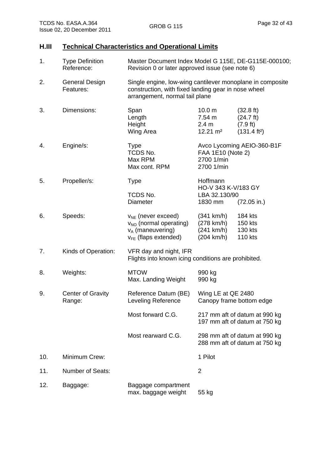# **H.III Technical Characteristics and Operational Limits**

| 1.  | <b>Type Definition</b><br>Reference: | Master Document Index Model G 115E, DE-G115E-000100;<br>Revision 0 or later approved issue (see note 6)                                            |                                                             |                                                                                    |
|-----|--------------------------------------|----------------------------------------------------------------------------------------------------------------------------------------------------|-------------------------------------------------------------|------------------------------------------------------------------------------------|
| 2.  | <b>General Design</b><br>Features:   | Single engine, low-wing cantilever monoplane in composite<br>construction, with fixed landing gear in nose wheel<br>arrangement, normal tail plane |                                                             |                                                                                    |
| 3.  | Dimensions:                          | Span<br>Length<br>Height<br>Wing Area                                                                                                              | 10.0 <sub>m</sub><br>7.54 m<br>2.4 m<br>$12.21 \text{ m}^2$ | $(32.8 \text{ ft})$<br>$(24.7 \text{ ft})$<br>(7.9 ft)<br>(131.4 ft <sup>2</sup> ) |
| 4.  | Engine/s:                            | <b>Type</b><br>TCDS No.<br>Max RPM<br>Max cont. RPM                                                                                                | FAA 1E10 (Note 2)<br>2700 1/min<br>2700 1/min               | Avco Lycoming AEIO-360-B1F                                                         |
| 5.  | Propeller/s:                         | <b>Type</b><br><b>TCDS No.</b><br>Diameter                                                                                                         | Hoffmann<br>HO-V 343 K-V/183 GY<br>LBA 32.130/90<br>1830 mm | $(72.05 \text{ in.})$                                                              |
| 6.  | Speeds:                              | $v_{NE}$ (never exceed)<br>V <sub>NO</sub> (normal operating)<br>$v_A$ (maneuvering)<br>$v_{FE}$ (flaps extended)                                  | (341 km/h)<br>(278 km/h)<br>(241 km/h)<br>(204 km/h)        | 184 kts<br>150 kts<br>130 kts<br><b>110 kts</b>                                    |
| 7.  | Kinds of Operation:                  | VFR day and night, IFR<br>Flights into known icing conditions are prohibited.                                                                      |                                                             |                                                                                    |
| 8.  | Weights:                             | <b>MTOW</b><br>Max. Landing Weight                                                                                                                 | 990 kg<br>990 kg                                            |                                                                                    |
| 9.  | <b>Center of Gravity</b><br>Range:   | Reference Datum (BE)<br>Leveling Reference                                                                                                         | Wing LE at QE 2480                                          | Canopy frame bottom edge                                                           |
|     |                                      | Most forward C.G.                                                                                                                                  |                                                             | 217 mm aft of datum at 990 kg<br>197 mm aft of datum at 750 kg                     |
|     |                                      | Most rearward C.G.                                                                                                                                 |                                                             | 298 mm aft of datum at 990 kg<br>288 mm aft of datum at 750 kg                     |
| 10. | Minimum Crew:                        |                                                                                                                                                    | 1 Pilot                                                     |                                                                                    |
| 11. | <b>Number of Seats:</b>              |                                                                                                                                                    | $\overline{2}$                                              |                                                                                    |
| 12. | Baggage:                             | Baggage compartment<br>max. baggage weight                                                                                                         | 55 kg                                                       |                                                                                    |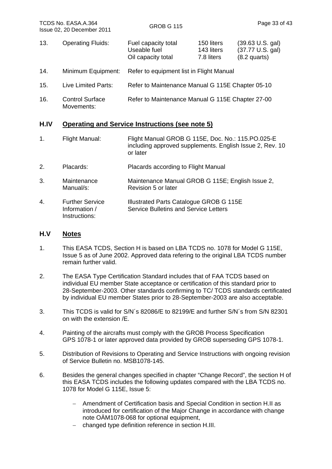13. Operating Fluids: Fuel capacity total Useable fuel Oil capacity total 150 liters (39.63 U.S. gal) 143 liters (37.77 U.S. gal) 7.8 liters (8.2 quarts) 14. Minimum Equipment: Refer to equipment list in Flight Manual 15. Live Limited Parts: Refer to Maintenance Manual G 115E Chapter 05-10 16. Control Surface Movements: Refer to Maintenance Manual G 115E Chapter 27-00

#### **H.IV Operating and Service Instructions (see note 5)**

- 1. Flight Manual: Flight Manual GROB G 115E, Doc. No.: 115.PO.025-E including approved supplements. English Issue 2, Rev. 10 or later
- 2. Placards: Placards according to Flight Manual
- 3. Maintenance Manual/s: Maintenance Manual GROB G 115E; English Issue 2, Revision 5 or later
- 4. Further Service Information / Instructions: Illustrated Parts Catalogue GROB G 115E Service Bulletins and Service Letters

#### **H.V Notes**

- 1. This EASA TCDS, Section H is based on LBA TCDS no. 1078 for Model G 115E, Issue 5 as of June 2002. Approved data refering to the original LBA TCDS number remain further valid.
- 2. The EASA Type Certification Standard includes that of FAA TCDS based on individual EU member State acceptance or certification of this standard prior to 28-September-2003. Other standards confirming to TC/ TCDS standards certificated by individual EU member States prior to 28-September-2003 are also acceptable.
- 3. This TCDS is valid for S/N´s 82086/E to 82199/E and further S/N´s from S/N 82301 on with the extension /E.
- 4. Painting of the aircrafts must comply with the GROB Process Specification GPS 1078-1 or later approved data provided by GROB superseding GPS 1078-1.
- 5. Distribution of Revisions to Operating and Service Instructions with ongoing revision of Service Bulletin no. MSB1078-145.
- 6. Besides the general changes specified in chapter "Change Record", the section H of this EASA TCDS includes the following updates compared with the LBA TCDS no. 1078 for Model G 115E, Issue 5:
	- Amendment of Certification basis and Special Condition in section H.II as introduced for certification of the Major Change in accordance with change note OÄM1078-068 for optional equipment,
	- changed type definition reference in section H.III.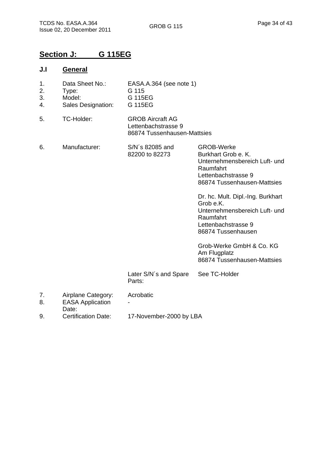86874 Tussenhausen-Mattsies

# **Section J: G 115EG**

#### **J.I General**

- 1. Data Sheet No.: EASA.A.364 (see note 1)
- 2. Type: G 115
- 3. Model: G 115EG 4. Sales Designation: G 115EG
- 5. TC-Holder: GROB Aircraft AG Lettenbachstrasse 9

6. Manufacturer: S/N´s 82085 and 82200 to 82273 Later S/N´s and Spare Parts: GROB-Werke Burkhart Grob e. K. Unternehmensbereich Luft- und Raumfahrt Lettenbachstrasse 9 86874 Tussenhausen-Mattsies Dr. hc. Mult. Dipl.-Ing. Burkhart Grob e.K. Unternehmensbereich Luft- und Raumfahrt Lettenbachstrasse 9 86874 Tussenhausen Grob-Werke GmbH & Co. KG Am Flugplatz 86874 Tussenhausen-Mattsies See TC-Holder 7. Airplane Category: Acrobatic 8. EASA Application Date: - 9. Certification Date: 17-November-2000 by LBA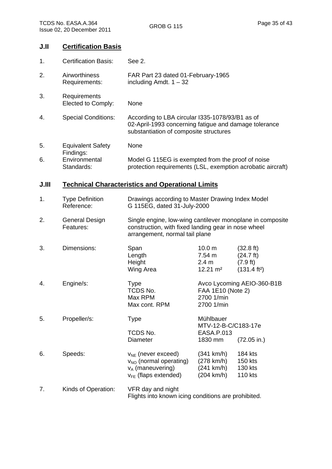### **J.II Certification Basis**

| 1.    | <b>Certification Basis:</b>              | See 2.                                                                                                                                             |                                                                                                                                                    |                                                                                              |
|-------|------------------------------------------|----------------------------------------------------------------------------------------------------------------------------------------------------|----------------------------------------------------------------------------------------------------------------------------------------------------|----------------------------------------------------------------------------------------------|
| 2.    | Airworthiness<br>Requirements:           | FAR Part 23 dated 01-February-1965<br>including Amdt. $1 - 32$                                                                                     |                                                                                                                                                    |                                                                                              |
| 3.    | Requirements<br>Elected to Comply:       | None                                                                                                                                               |                                                                                                                                                    |                                                                                              |
| 4.    | <b>Special Conditions:</b>               | According to LBA circular I335-1078/93/B1 as of<br>02-April-1993 concerning fatigue and damage tolerance<br>substantiation of composite structures |                                                                                                                                                    |                                                                                              |
| 5.    | <b>Equivalent Safety</b>                 | None                                                                                                                                               |                                                                                                                                                    |                                                                                              |
| 6.    | Findings:<br>Environmental<br>Standards: | Model G 115EG is exempted from the proof of noise<br>protection requirements (LSL, exemption acrobatic aircraft)                                   |                                                                                                                                                    |                                                                                              |
| J.III |                                          | <b>Technical Characteristics and Operational Limits</b>                                                                                            |                                                                                                                                                    |                                                                                              |
| 1.    | <b>Type Definition</b><br>Reference:     | Drawings according to Master Drawing Index Model<br>G 115EG, dated 31-July-2000                                                                    |                                                                                                                                                    |                                                                                              |
| 2.    | <b>General Design</b><br>Features:       |                                                                                                                                                    | Single engine, low-wing cantilever monoplane in composite<br>construction, with fixed landing gear in nose wheel<br>arrangement, normal tail plane |                                                                                              |
| 3.    | Dimensions:                              | Span<br>Length<br>Height<br>Wing Area                                                                                                              | 10.0 <sub>m</sub><br>7.54 m<br>2.4 m<br>$12.21 \text{ m}^2$                                                                                        | $(32.8 \text{ ft})$<br>$(24.7 \text{ ft})$<br>$(7.9 \text{ ft})$<br>(131.4 ft <sup>2</sup> ) |
| 4.    | Engine/s:                                | <b>Type</b><br>TCDS No.<br>Max RPM<br>Max cont. RPM                                                                                                | FAA 1E10 (Note 2)<br>2700 1/min<br>2700 1/min                                                                                                      | Avco Lycoming AEIO-360-B1B                                                                   |
| 5.    | Propeller/s:                             | <b>Type</b>                                                                                                                                        | Mühlbauer<br>MTV-12-B-C/C183-17e                                                                                                                   |                                                                                              |
|       |                                          | TCDS No.<br>Diameter                                                                                                                               | EASA.P.013<br>1830 mm                                                                                                                              | $(72.05 \text{ in.})$                                                                        |
| 6.    | Speeds:                                  | $V_{NE}$ (never exceed)<br>$v_{NO}$ (normal operating)<br>$v_A$ (maneuvering)<br>$V_{FE}$ (flaps extended)                                         | (341 km/h)<br>(278 km/h)<br>(241 km/h)<br>(204 km/h)                                                                                               | 184 kts<br>150 kts<br>130 kts<br><b>110 kts</b>                                              |
| 7.    | Kinds of Operation:                      | VFR day and night                                                                                                                                  |                                                                                                                                                    |                                                                                              |

Flights into known icing conditions are prohibited.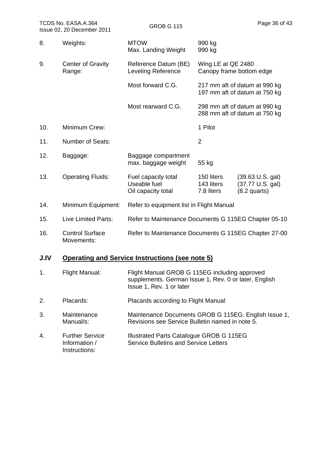|     | TCDS No. EASA.A.364<br>Issue 02, 20 December 2011 | <b>GROB G 115</b>                                         |                                        | Page 36 of 43                                                    |
|-----|---------------------------------------------------|-----------------------------------------------------------|----------------------------------------|------------------------------------------------------------------|
| 8.  | Weights:                                          | <b>MTOW</b><br>Max. Landing Weight                        | 990 kg<br>990 kg                       |                                                                  |
| 9.  | <b>Center of Gravity</b><br>Range:                | Reference Datum (BE)<br>Leveling Reference                | Wing LE at QE 2480                     | Canopy frame bottom edge                                         |
|     |                                                   | Most forward C.G.                                         |                                        | 217 mm aft of datum at 990 kg<br>197 mm aft of datum at 750 kg   |
|     |                                                   | Most rearward C.G.                                        |                                        | 298 mm aft of datum at 990 kg<br>288 mm aft of datum at 750 kg   |
| 10. | Minimum Crew:                                     |                                                           | 1 Pilot                                |                                                                  |
| 11. | <b>Number of Seats:</b>                           |                                                           | $\overline{2}$                         |                                                                  |
| 12. | Baggage:                                          | Baggage compartment<br>max. baggage weight                | 55 kg                                  |                                                                  |
| 13. | <b>Operating Fluids:</b>                          | Fuel capacity total<br>Useable fuel<br>Oil capacity total | 150 liters<br>143 liters<br>7.8 liters | $(39.63 \text{ U.S. gal})$<br>(37.77 U.S. gal)<br>$(8.2$ quarts) |
| 14. | Minimum Equipment:                                | Refer to equipment list in Flight Manual                  |                                        |                                                                  |
| 15. | Live Limited Parts:                               | Refer to Maintenance Documents G 115EG Chapter 05-10      |                                        |                                                                  |
| 16. | <b>Control Surface</b><br>Movements:              | Refer to Maintenance Documents G 115EG Chapter 27-00      |                                        |                                                                  |
|     |                                                   |                                                           |                                        |                                                                  |

# **J.IV Operating and Service Instructions (see note 5)**

| 1. | Flight Manual:                                           | Flight Manual GROB G 115EG including approved<br>supplements. German Issue 1, Rev. 0 or later, English<br>Issue 1, Rev. 1 or later |
|----|----------------------------------------------------------|------------------------------------------------------------------------------------------------------------------------------------|
| 2. | Placards:                                                | Placards according to Flight Manual                                                                                                |
| 3. | Maintenance<br>Manual/s:                                 | Maintenance Documents GROB G 115EG. English Issue 1,<br>Revisions see Service Bulletin named in note 5.                            |
| 4. | <b>Further Service</b><br>Information /<br>Instructions: | Illustrated Parts Catalogue GROB G 115EG<br><b>Service Bulletins and Service Letters</b>                                           |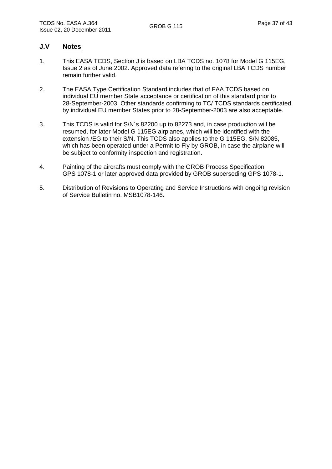#### **J.V Notes**

- 1. This EASA TCDS, Section J is based on LBA TCDS no. 1078 for Model G 115EG, Issue 2 as of June 2002. Approved data refering to the original LBA TCDS number remain further valid.
- 2. The EASA Type Certification Standard includes that of FAA TCDS based on individual EU member State acceptance or certification of this standard prior to 28-September-2003. Other standards confirming to TC/ TCDS standards certificated by individual EU member States prior to 28-September-2003 are also acceptable.
- 3. This TCDS is valid for S/N´s 82200 up to 82273 and, in case production will be resumed, for later Model G 115EG airplanes, which will be identified with the extension /EG to their S/N. This TCDS also applies to the G 115EG, S/N 82085, which has been operated under a Permit to Fly by GROB, in case the airplane will be subject to conformity inspection and registration.
- 4. Painting of the aircrafts must comply with the GROB Process Specification GPS 1078-1 or later approved data provided by GROB superseding GPS 1078-1.
- 5. Distribution of Revisions to Operating and Service Instructions with ongoing revision of Service Bulletin no. MSB1078-146.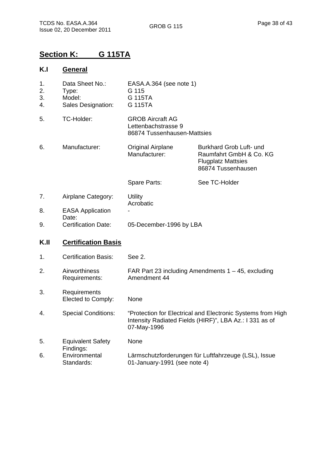# **Section K: G 115TA**

### **K.I General**

| 1.<br>2.<br>3.<br>4. | Data Sheet No.:<br>Type:<br>Model:<br>Sales Designation: | EASA.A.364 (see note 1)<br>G 115<br>G 115TA<br>G 115TA                                                                                |                                                                                                       |
|----------------------|----------------------------------------------------------|---------------------------------------------------------------------------------------------------------------------------------------|-------------------------------------------------------------------------------------------------------|
| 5.                   | TC-Holder:                                               | <b>GROB Aircraft AG</b><br>Lettenbachstrasse 9<br>86874 Tussenhausen-Mattsies                                                         |                                                                                                       |
| 6.                   | Manufacturer:                                            | <b>Original Airplane</b><br>Manufacturer:                                                                                             | Burkhard Grob Luft- und<br>Raumfahrt GmbH & Co. KG<br><b>Flugplatz Mattsies</b><br>86874 Tussenhausen |
|                      |                                                          | Spare Parts:                                                                                                                          | See TC-Holder                                                                                         |
| 7.                   | Airplane Category:                                       | <b>Utility</b><br>Acrobatic                                                                                                           |                                                                                                       |
| 8.                   | <b>EASA Application</b><br>Date:                         |                                                                                                                                       |                                                                                                       |
| 9.                   | <b>Certification Date:</b>                               | 05-December-1996 by LBA                                                                                                               |                                                                                                       |
| K.II                 | <b>Certification Basis</b>                               |                                                                                                                                       |                                                                                                       |
| 1.                   | <b>Certification Basis:</b>                              | See 2.                                                                                                                                |                                                                                                       |
| 2.                   | Airworthiness<br>Requirements:                           | FAR Part 23 including Amendments $1 - 45$ , excluding<br>Amendment 44                                                                 |                                                                                                       |
| 3.                   | Requirements<br>Elected to Comply:                       | None                                                                                                                                  |                                                                                                       |
| 4.                   | <b>Special Conditions:</b>                               | "Protection for Electrical and Electronic Systems from High<br>Intensity Radiated Fields (HIRF)", LBA Az.: I 331 as of<br>07-May-1996 |                                                                                                       |
| 5.                   | <b>Equivalent Safety</b><br>Findings:                    | None                                                                                                                                  |                                                                                                       |
| 6.                   | Environmental<br>Standards:                              | Lärmschutzforderungen für Luftfahrzeuge (LSL), Issue<br>01-January-1991 (see note 4)                                                  |                                                                                                       |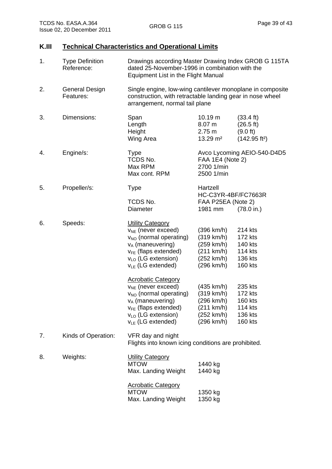# **K.III Technical Characteristics and Operational Limits**

| 1. | <b>Type Definition</b><br>Reference: | Drawings according Master Drawing Index GROB G 115TA<br>dated 25-November-1996 in combination with the<br>Equipment List in the Flight Manual                                                              |                                                                                  |                                                                                     |
|----|--------------------------------------|------------------------------------------------------------------------------------------------------------------------------------------------------------------------------------------------------------|----------------------------------------------------------------------------------|-------------------------------------------------------------------------------------|
| 2. | <b>General Design</b><br>Features:   | Single engine, low-wing cantilever monoplane in composite<br>construction, with retractable landing gear in nose wheel<br>arrangement, normal tail plane                                                   |                                                                                  |                                                                                     |
| 3. | Dimensions:                          | Span<br>Length<br>Height<br>Wing Area                                                                                                                                                                      | 10.19 m<br>8.07 m<br>2.75 m<br>$13.29 \text{ m}^2$                               | $(33.4 \text{ ft})$<br>(26.5 ft)<br>$(9.0 \text{ ft})$<br>(142.95 ft <sup>2</sup> ) |
| 4. | Engine/s:                            | <b>Type</b><br>TCDS No.<br>Max RPM<br>Max cont. RPM                                                                                                                                                        | FAA 1E4 (Note 2)<br>2700 1/min<br>2500 1/min                                     | Avco Lycoming AEIO-540-D4D5                                                         |
| 5. | Propeller/s:                         | <b>Type</b><br>TCDS No.<br>Diameter                                                                                                                                                                        | Hartzell<br>HC-C3YR-4BF/FC7663R<br>FAA P25EA (Note 2)<br>1981 mm                 | $(78.0 \text{ in.})$                                                                |
| 6. | Speeds:                              | <b>Utility Category</b><br>$v_{NE}$ (never exceed)<br>V <sub>NO</sub> (normal operating)<br>$v_A$ (maneuvering)<br>$v_{FE}$ (flaps extended)<br>$v_{LO}$ (LG extension)<br>$v_{LE}$ (LG extended)          | (396 km/h)<br>(319 km/h)<br>(259 km/h)<br>(211 km/h)<br>(252 km/h)<br>(296 km/h) | 214 kts<br>172 kts<br>140 kts<br><b>114 kts</b><br>136 kts<br>160 kts               |
|    |                                      | <b>Acrobatic Category</b><br>$v_{NE}$ (never exceed)<br>V <sub>NO</sub> (normal operating)<br>$v_A$ (maneuvering)<br>V <sub>FE</sub> (flaps extended)<br>$v_{LO}$ (LG extension)<br>$v_{LE}$ (LG extended) | (435 km/h)<br>(319 km/h)<br>(296 km/h)<br>(211 km/h)<br>(252 km/h)<br>(296 km/h) | 235 kts<br>172 kts<br>160 kts<br>114 kts<br>136 kts<br><b>160 kts</b>               |
| 7. | Kinds of Operation:                  | VFR day and night<br>Flights into known icing conditions are prohibited.                                                                                                                                   |                                                                                  |                                                                                     |
| 8. | Weights:                             | <b>Utility Category</b><br><b>MTOW</b><br>Max. Landing Weight                                                                                                                                              | 1440 kg<br>1440 kg                                                               |                                                                                     |
|    |                                      | <b>Acrobatic Category</b><br><b>MTOW</b><br>Max. Landing Weight                                                                                                                                            | 1350 kg<br>1350 kg                                                               |                                                                                     |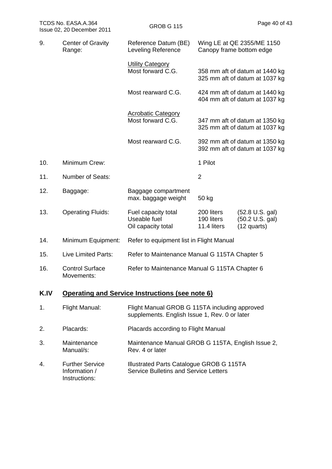| TCDS No. EASA.A.364<br>Issue 02, 20 December 2011 |                                      | <b>GROB G 115</b>                                                                              |                                         | Page 40 of 43                                                    |
|---------------------------------------------------|--------------------------------------|------------------------------------------------------------------------------------------------|-----------------------------------------|------------------------------------------------------------------|
| 9.                                                | <b>Center of Gravity</b><br>Range:   | Reference Datum (BE)<br>Leveling Reference                                                     | Canopy frame bottom edge                | Wing LE at QE 2355/ME 1150                                       |
|                                                   |                                      | <b>Utility Category</b><br>Most forward C.G.                                                   |                                         | 358 mm aft of datum at 1440 kg<br>325 mm aft of datum at 1037 kg |
|                                                   |                                      | Most rearward C.G.                                                                             |                                         | 424 mm aft of datum at 1440 kg<br>404 mm aft of datum at 1037 kg |
|                                                   |                                      | <b>Acrobatic Category</b><br>Most forward C.G.                                                 |                                         | 347 mm aft of datum at 1350 kg<br>325 mm aft of datum at 1037 kg |
|                                                   |                                      | Most rearward C.G.                                                                             |                                         | 392 mm aft of datum at 1350 kg<br>392 mm aft of datum at 1037 kg |
| 10.                                               | Minimum Crew:                        |                                                                                                | 1 Pilot                                 |                                                                  |
| 11.                                               | <b>Number of Seats:</b>              |                                                                                                | $\overline{2}$                          |                                                                  |
| 12.                                               | Baggage:                             | Baggage compartment<br>max. baggage weight                                                     | 50 kg                                   |                                                                  |
| 13.                                               | <b>Operating Fluids:</b>             | Fuel capacity total<br>Useable fuel<br>Oil capacity total                                      | 200 liters<br>190 liters<br>11.4 liters | $(52.8 \cup S. gal)$<br>(50.2 U.S. gal)<br>$(12$ quarts)         |
| 14.                                               | Minimum Equipment:                   | Refer to equipment list in Flight Manual                                                       |                                         |                                                                  |
| 15.                                               | Live Limited Parts:                  | Refer to Maintenance Manual G 115TA Chapter 5                                                  |                                         |                                                                  |
| 16.                                               | <b>Control Surface</b><br>Movements: | Refer to Maintenance Manual G 115TA Chapter 6                                                  |                                         |                                                                  |
| K.IV                                              |                                      | <b>Operating and Service Instructions (see note 6)</b>                                         |                                         |                                                                  |
| 1.                                                | Flight Manual:                       | Flight Manual GROB G 115TA including approved<br>supplements. English Issue 1, Rev. 0 or later |                                         |                                                                  |
| 2.                                                | Placards:                            | Placards according to Flight Manual                                                            |                                         |                                                                  |
| 3.                                                | Maintenance<br>Manual/s:             | Maintenance Manual GROB G 115TA, English Issue 2,<br>Rev. 4 or later                           |                                         |                                                                  |

4. Further Service Information / Instructions: Illustrated Parts Catalogue GROB G 115TA Service Bulletins and Service Letters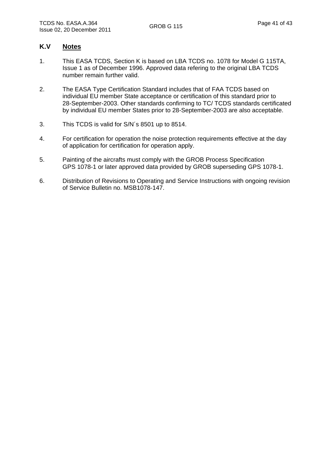#### **K.V Notes**

- 1. This EASA TCDS, Section K is based on LBA TCDS no. 1078 for Model G 115TA, Issue 1 as of December 1996. Approved data refering to the original LBA TCDS number remain further valid.
- 2. The EASA Type Certification Standard includes that of FAA TCDS based on individual EU member State acceptance or certification of this standard prior to 28-September-2003. Other standards confirming to TC/ TCDS standards certificated by individual EU member States prior to 28-September-2003 are also acceptable.
- 3. This TCDS is valid for S/N´s 8501 up to 8514.
- 4. For certification for operation the noise protection requirements effective at the day of application for certification for operation apply.
- 5. Painting of the aircrafts must comply with the GROB Process Specification GPS 1078-1 or later approved data provided by GROB superseding GPS 1078-1.
- 6. Distribution of Revisions to Operating and Service Instructions with ongoing revision of Service Bulletin no. MSB1078-147.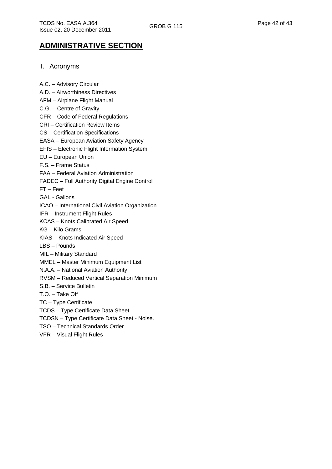# **ADMINISTRATIVE SECTION**

#### I. Acronyms

A.C. – Advisory Circular A.D. – Airworthiness Directives AFM – Airplane Flight Manual C.G. – Centre of Gravity CFR – Code of Federal Regulations CRI – Certification Review Items CS – Certification Specifications EASA – European Aviation Safety Agency EFIS – Electronic Flight Information System EU – European Union F.S. – Frame Status FAA – Federal Aviation Administration FADEC – Full Authority Digital Engine Control FT – Feet GAL - Gallons ICAO – International Civil Aviation Organization IFR – Instrument Flight Rules KCAS – Knots Calibrated Air Speed KG – Kilo Grams KIAS – Knots Indicated Air Speed LBS – Pounds MIL – Military Standard MMEL – Master Minimum Equipment List N.A.A. – National Aviation Authority RVSM – Reduced Vertical Separation Minimum S.B. – Service Bulletin T.O. – Take Off TC – Type Certificate TCDS – Type Certificate Data Sheet TCDSN – Type Certificate Data Sheet - Noise. TSO – Technical Standards Order VFR – Visual Flight Rules